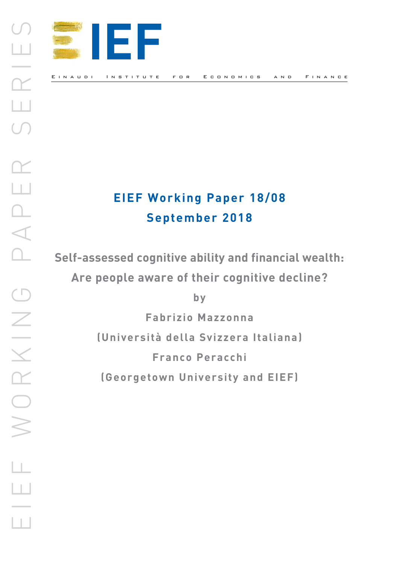

# **EIEF Working Paper 18/08 September 2018**

**Self-assessed cognitive ability and financial wealth: Are people aware of their cognitive decline?**

**by**

**Fabrizio Mazzonna**

**(Università della Svizzera Italiana)** 

**Franco Peracchi**

**(Georgetown University and EIEF)**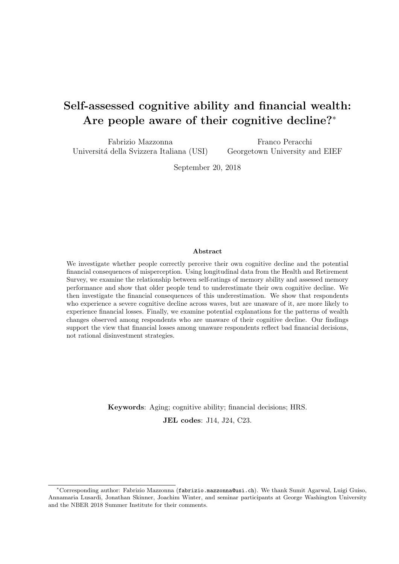# Self-assessed cognitive ability and financial wealth: Are people aware of their cognitive decline?<sup>∗</sup>

Fabrizio Mazzonna Universitá della Svizzera Italiana (USI)

Franco Peracchi Georgetown University and EIEF

September 20, 2018

#### Abstract

We investigate whether people correctly perceive their own cognitive decline and the potential financial consequences of misperception. Using longitudinal data from the Health and Retirement Survey, we examine the relationship between self-ratings of memory ability and assessed memory performance and show that older people tend to underestimate their own cognitive decline. We then investigate the financial consequences of this underestimation. We show that respondents who experience a severe cognitive decline across waves, but are unaware of it, are more likely to experience financial losses. Finally, we examine potential explanations for the patterns of wealth changes observed among respondents who are unaware of their cognitive decline. Our findings support the view that financial losses among unaware respondents reflect bad financial decisions, not rational disinvestment strategies.

Keywords: Aging; cognitive ability; financial decisions; HRS.

JEL codes: J14, J24, C23.

<sup>∗</sup>Corresponding author: Fabrizio Mazzonna (fabrizio.mazzonna@usi.ch). We thank Sumit Agarwal, Luigi Guiso, Annamaria Lusardi, Jonathan Skinner, Joachim Winter, and seminar participants at George Washington University and the NBER 2018 Summer Institute for their comments.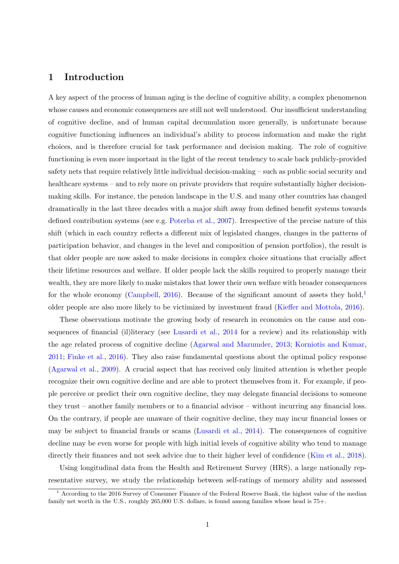# 1 Introduction

A key aspect of the process of human aging is the decline of cognitive ability, a complex phenomenon whose causes and economic consequences are still not well understood. Our insufficient understanding of cognitive decline, and of human capital decumulation more generally, is unfortunate because cognitive functioning influences an individual's ability to process information and make the right choices, and is therefore crucial for task performance and decision making. The role of cognitive functioning is even more important in the light of the recent tendency to scale back publicly-provided safety nets that require relatively little individual decision-making – such as public social security and healthcare systems – and to rely more on private providers that require substantially higher decisionmaking skills. For instance, the pension landscape in the U.S. and many other countries has changed dramatically in the last three decades with a major shift away from defined benefit systems towards defined contribution systems (see e.g. [Poterba et al.,](#page-22-0) [2007\)](#page-22-0). Irrespective of the precise nature of this shift (which in each country reflects a different mix of legislated changes, changes in the patterns of participation behavior, and changes in the level and composition of pension portfolios), the result is that older people are now asked to make decisions in complex choice situations that crucially affect their lifetime resources and welfare. If older people lack the skills required to properly manage their wealth, they are more likely to make mistakes that lower their own welfare with broader consequences for the whole economy [\(Campbell,](#page-20-0) [2016\)](#page-20-0). Because of the significant amount of assets they hold, $\frac{1}{2}$  $\frac{1}{2}$  $\frac{1}{2}$ older people are also more likely to be victimized by investment fraud [\(Kieffer and Mottola,](#page-21-0) [2016\)](#page-21-0).

These observations motivate the growing body of research in economics on the cause and consequences of financial (il)literacy (see [Lusardi et al.,](#page-22-1) [2014](#page-22-1) for a review) and its relationship with the age related process of cognitive decline [\(Agarwal and Mazumder,](#page-20-1) [2013;](#page-20-1) [Korniotis and Kumar,](#page-21-1) [2011;](#page-21-1) [Finke et al.,](#page-21-2) [2016\)](#page-21-2). They also raise fundamental questions about the optimal policy response [\(Agarwal et al.,](#page-20-2) [2009\)](#page-20-2). A crucial aspect that has received only limited attention is whether people recognize their own cognitive decline and are able to protect themselves from it. For example, if people perceive or predict their own cognitive decline, they may delegate financial decisions to someone they trust – another family members or to a financial advisor – without incurring any financial loss. On the contrary, if people are unaware of their cognitive decline, they may incur financial losses or may be subject to financial frauds or scams [\(Lusardi et al.,](#page-22-1) [2014\)](#page-22-1). The consequences of cognitive decline may be even worse for people with high initial levels of cognitive ability who tend to manage directly their finances and not seek advice due to their higher level of confidence [\(Kim et al.,](#page-21-3) [2018\)](#page-21-3).

Using longitudinal data from the Health and Retirement Survey (HRS), a large nationally representative survey, we study the relationship between self-ratings of memory ability and assessed

<span id="page-2-0"></span><sup>&</sup>lt;sup>1</sup> According to the 2016 Survey of Consumer Finance of the Federal Reserve Bank, the highest value of the median family net worth in the U.S., roughly 265,000 U.S. dollars, is found among families whose head is 75+.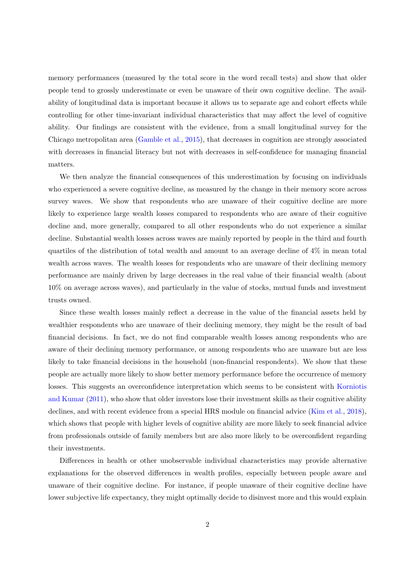memory performances (measured by the total score in the word recall tests) and show that older people tend to grossly underestimate or even be unaware of their own cognitive decline. The availability of longitudinal data is important because it allows us to separate age and cohort effects while controlling for other time-invariant individual characteristics that may affect the level of cognitive ability. Our findings are consistent with the evidence, from a small longitudinal survey for the Chicago metropolitan area [\(Gamble et al.,](#page-21-4) [2015\)](#page-21-4), that decreases in cognition are strongly associated with decreases in financial literacy but not with decreases in self-confidence for managing financial matters.

We then analyze the financial consequences of this underestimation by focusing on individuals who experienced a severe cognitive decline, as measured by the change in their memory score across survey waves. We show that respondents who are unaware of their cognitive decline are more likely to experience large wealth losses compared to respondents who are aware of their cognitive decline and, more generally, compared to all other respondents who do not experience a similar decline. Substantial wealth losses across waves are mainly reported by people in the third and fourth quartiles of the distribution of total wealth and amount to an average decline of 4% in mean total wealth across waves. The wealth losses for respondents who are unaware of their declining memory performance are mainly driven by large decreases in the real value of their financial wealth (about 10% on average across waves), and particularly in the value of stocks, mutual funds and investment trusts owned.

Since these wealth losses mainly reflect a decrease in the value of the financial assets held by wealthier respondents who are unaware of their declining memory, they might be the result of bad financial decisions. In fact, we do not find comparable wealth losses among respondents who are aware of their declining memory performance, or among respondents who are unaware but are less likely to take financial decisions in the household (non-financial respondents). We show that these people are actually more likely to show better memory performance before the occurrence of memory losses. This suggests an overconfidence interpretation which seems to be consistent with [Korniotis](#page-21-1) [and Kumar](#page-21-1) [\(2011\)](#page-21-1), who show that older investors lose their investment skills as their cognitive ability declines, and with recent evidence from a special HRS module on financial advice [\(Kim et al.,](#page-21-3) [2018\)](#page-21-3), which shows that people with higher levels of cognitive ability are more likely to seek financial advice from professionals outside of family members but are also more likely to be overconfident regarding their investments.

Differences in health or other unobservable individual characteristics may provide alternative explanations for the observed differences in wealth profiles, especially between people aware and unaware of their cognitive decline. For instance, if people unaware of their cognitive decline have lower subjective life expectancy, they might optimally decide to disinvest more and this would explain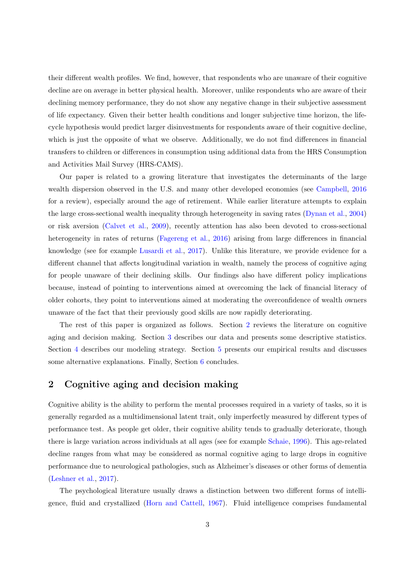their different wealth profiles. We find, however, that respondents who are unaware of their cognitive decline are on average in better physical health. Moreover, unlike respondents who are aware of their declining memory performance, they do not show any negative change in their subjective assessment of life expectancy. Given their better health conditions and longer subjective time horizon, the lifecycle hypothesis would predict larger disinvestments for respondents aware of their cognitive decline, which is just the opposite of what we observe. Additionally, we do not find differences in financial transfers to children or differences in consumption using additional data from the HRS Consumption and Activities Mail Survey (HRS-CAMS).

Our paper is related to a growing literature that investigates the determinants of the large wealth dispersion observed in the U.S. and many other developed economies (see [Campbell,](#page-20-0) [2016](#page-20-0) for a review), especially around the age of retirement. While earlier literature attempts to explain the large cross-sectional wealth inequality through heterogeneity in saving rates [\(Dynan et al.,](#page-21-5) [2004\)](#page-21-5) or risk aversion [\(Calvet et al.,](#page-20-3) [2009\)](#page-20-3), recently attention has also been devoted to cross-sectional heterogeneity in rates of returns [\(Fagereng et al.,](#page-21-6) [2016\)](#page-21-6) arising from large differences in financial knowledge (see for example [Lusardi et al.,](#page-22-2) [2017\)](#page-22-2). Unlike this literature, we provide evidence for a different channel that affects longitudinal variation in wealth, namely the process of cognitive aging for people unaware of their declining skills. Our findings also have different policy implications because, instead of pointing to interventions aimed at overcoming the lack of financial literacy of older cohorts, they point to interventions aimed at moderating the overconfidence of wealth owners unaware of the fact that their previously good skills are now rapidly deteriorating.

The rest of this paper is organized as follows. Section [2](#page-4-0) reviews the literature on cognitive aging and decision making. Section [3](#page-6-0) describes our data and presents some descriptive statistics. Section [4](#page-11-0) describes our modeling strategy. Section [5](#page-12-0) presents our empirical results and discusses some alternative explanations. Finally, Section [6](#page-17-0) concludes.

# <span id="page-4-0"></span>2 Cognitive aging and decision making

Cognitive ability is the ability to perform the mental processes required in a variety of tasks, so it is generally regarded as a multidimensional latent trait, only imperfectly measured by different types of performance test. As people get older, their cognitive ability tends to gradually deteriorate, though there is large variation across individuals at all ages (see for example [Schaie,](#page-22-3) [1996\)](#page-22-3). This age-related decline ranges from what may be considered as normal cognitive aging to large drops in cognitive performance due to neurological pathologies, such as Alzheimer's diseases or other forms of dementia [\(Leshner et al.,](#page-22-4) [2017\)](#page-22-4).

The psychological literature usually draws a distinction between two different forms of intelligence, fluid and crystallized [\(Horn and Cattell,](#page-21-7) [1967\)](#page-21-7). Fluid intelligence comprises fundamental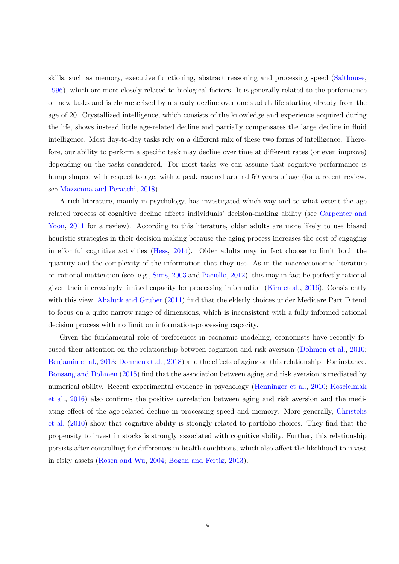skills, such as memory, executive functioning, abstract reasoning and processing speed [\(Salthouse,](#page-22-5) [1996\)](#page-22-5), which are more closely related to biological factors. It is generally related to the performance on new tasks and is characterized by a steady decline over one's adult life starting already from the age of 20. Crystallized intelligence, which consists of the knowledge and experience acquired during the life, shows instead little age-related decline and partially compensates the large decline in fluid intelligence. Most day-to-day tasks rely on a different mix of these two forms of intelligence. Therefore, our ability to perform a specific task may decline over time at different rates (or even improve) depending on the tasks considered. For most tasks we can assume that cognitive performance is hump shaped with respect to age, with a peak reached around 50 years of age (for a recent review, see [Mazzonna and Peracchi,](#page-22-6) [2018\)](#page-22-6).

A rich literature, mainly in psychology, has investigated which way and to what extent the age related process of cognitive decline affects individuals' decision-making ability (see [Carpenter and](#page-20-4) [Yoon,](#page-20-4) [2011](#page-20-4) for a review). According to this literature, older adults are more likely to use biased heuristic strategies in their decision making because the aging process increases the cost of engaging in effortful cognitive activities [\(Hess,](#page-21-8) [2014\)](#page-21-8). Older adults may in fact choose to limit both the quantity and the complexity of the information that they use. As in the macroeconomic literature on rational inattention (see, e.g., [Sims,](#page-23-0) [2003](#page-23-0) and [Paciello,](#page-22-7) [2012\)](#page-22-7), this may in fact be perfectly rational given their increasingly limited capacity for processing information [\(Kim et al.,](#page-21-9) [2016\)](#page-21-9). Consistently with this view, [Abaluck and Gruber](#page-20-5) [\(2011\)](#page-20-5) find that the elderly choices under Medicare Part D tend to focus on a quite narrow range of dimensions, which is inconsistent with a fully informed rational decision process with no limit on information-processing capacity.

Given the fundamental role of preferences in economic modeling, economists have recently focused their attention on the relationship between cognition and risk aversion [\(Dohmen et al.,](#page-20-6) [2010;](#page-20-6) [Benjamin et al.,](#page-20-7) [2013;](#page-20-7) [Dohmen et al.,](#page-20-8) [2018\)](#page-20-8) and the effects of aging on this relationship. For instance, [Bonsang and Dohmen](#page-20-9) [\(2015\)](#page-20-9) find that the association between aging and risk aversion is mediated by numerical ability. Recent experimental evidence in psychology [\(Henninger et al.,](#page-21-10) [2010;](#page-21-10) [Koscielniak](#page-22-8) [et al.,](#page-22-8) [2016\)](#page-22-8) also confirms the positive correlation between aging and risk aversion and the mediating effect of the age-related decline in processing speed and memory. More generally, [Christelis](#page-20-10) [et al.](#page-20-10) [\(2010\)](#page-20-10) show that cognitive ability is strongly related to portfolio choices. They find that the propensity to invest in stocks is strongly associated with cognitive ability. Further, this relationship persists after controlling for differences in health conditions, which also affect the likelihood to invest in risky assets [\(Rosen and Wu,](#page-22-9) [2004;](#page-22-9) [Bogan and Fertig,](#page-20-11) [2013\)](#page-20-11).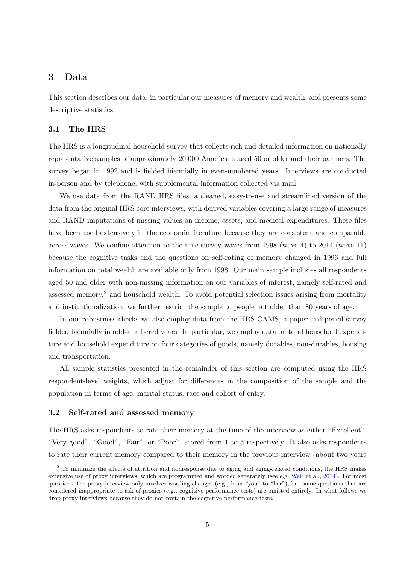# <span id="page-6-0"></span>3 Data

This section describes our data, in particular our measures of memory and wealth, and presents some descriptive statistics.

### <span id="page-6-2"></span>3.1 The HRS

The HRS is a longitudinal household survey that collects rich and detailed information on nationally representative samples of approximately 20,000 Americans aged 50 or older and their partners. The survey began in 1992 and is fielded biennially in even-numbered years. Interviews are conducted in-person and by telephone, with supplemental information collected via mail.

We use data from the RAND HRS files, a cleaned, easy-to-use and streamlined version of the data from the original HRS core interviews, with derived variables covering a large range of measures and RAND imputations of missing values on income, assets, and medical expenditures. These files have been used extensively in the economic literature because they are consistent and comparable across waves. We confine attention to the nine survey waves from 1998 (wave 4) to 2014 (wave 11) because the cognitive tasks and the questions on self-rating of memory changed in 1996 and full information on total wealth are available only from 1998. Our main sample includes all respondents aged 50 and older with non-missing information on our variables of interest, namely self-rated and assessed memory,<sup>[2](#page-6-1)</sup> and household wealth. To avoid potential selection issues arising from mortality and institutionalization, we further restrict the sample to people not older than 80 years of age.

In our robustness checks we also employ data from the HRS-CAMS, a paper-and-pencil survey fielded biennially in odd-numbered years. In particular, we employ data on total household expenditure and household expenditure on four categories of goods, namely durables, non-durables, housing and transportation.

All sample statistics presented in the remainder of this section are computed using the HRS respondent-level weights, which adjust for differences in the composition of the sample and the population in terms of age, marital status, race and cohort of entry.

#### 3.2 Self-rated and assessed memory

The HRS asks respondents to rate their memory at the time of the interview as either "Excellent", "Very good", "Good", "Fair", or "Poor", scored from 1 to 5 respectively. It also asks respondents to rate their current memory compared to their memory in the previous interview (about two years

<span id="page-6-1"></span><sup>&</sup>lt;sup>2</sup> To minimize the effects of attrition and nonresponse due to aging and aging-related conditions, the HRS makes extensive use of proxy interviews, which are programmed and worded separately (see e.g. [Weir et al.,](#page-23-1) [2014\)](#page-23-1). For most questions, the proxy interview only involves wording changes (e.g., from "you" to "her"), but some questions that are considered inappropriate to ask of proxies (e.g., cognitive performance tests) are omitted entirely. In what follows we drop proxy interviews because they do not contain the cognitive performance tests.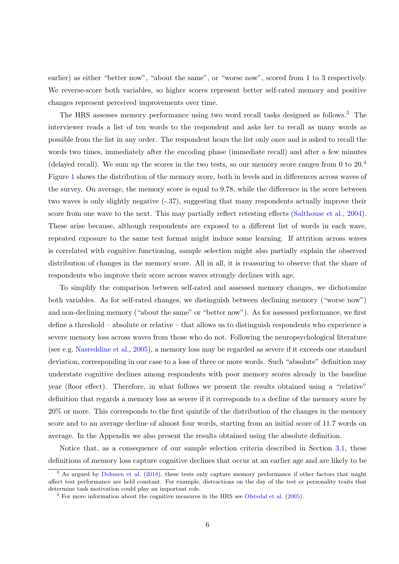earlier) as either "better now", "about the same", or "worse now", scored from 1 to 3 respectively. We reverse-score both variables, so higher scores represent better self-rated memory and positive changes represent perceived improvements over time.

The HRS assesses memory performance using two word recall tasks designed as follows.<sup>[3](#page-7-0)</sup> The interviewer reads a list of ten words to the respondent and asks her to recall as many words as possible from the list in any order. The respondent hears the list only once and is asked to recall the words two times, immediately after the encoding phase (immediate recall) and after a few minutes (delayed recall). We sum up the scores in the two tests, so our memory score ranges from 0 to  $20<sup>4</sup>$  $20<sup>4</sup>$  $20<sup>4</sup>$ Figure [1](#page-31-0) shows the distribution of the memory score, both in levels and in differences across waves of the survey. On average, the memory score is equal to 9.78, while the difference in the score between two waves is only slightly negative (-.37), suggesting that many respondents actually improve their score from one wave to the next. This may partially reflect retesting effects [\(Salthouse et al.,](#page-22-10) [2004\)](#page-22-10). These arise because, although respondents are exposed to a different list of words in each wave, repeated exposure to the same test format might induce some learning. If attrition across waves is correlated with cognitive functioning, sample selection might also partially explain the observed distribution of changes in the memory score. All in all, it is reassuring to observe that the share of respondents who improve their score across waves strongly declines with age.

To simplify the comparison between self-rated and assessed memory changes, we dichotomize both variables. As for self-rated changes, we distinguish between declining memory ("worse now") and non-declining memory ("about the same" or "better now"). As for assessed performance, we first define a threshold – absolute or relative – that allows us to distinguish respondents who experience a severe memory loss across waves from those who do not. Following the neuropsychological literature (see e.g. [Nasreddine et al.,](#page-22-11) [2005\)](#page-22-11), a memory loss may be regarded as severe if it exceeds one standard deviation, corresponding in our case to a loss of three or more words. Such "absolute" definition may understate cognitive declines among respondents with poor memory scores already in the baseline year (floor effect). Therefore, in what follows we present the results obtained using a "relative" definition that regards a memory loss as severe if it corresponds to a decline of the memory score by 20% or more. This corresponds to the first quintile of the distribution of the changes in the memory score and to an average decline of almost four words, starting from an initial score of 11.7 words on average. In the Appendix we also present the results obtained using the absolute definition.

Notice that, as a consequence of our sample selection criteria described in Section [3.1,](#page-6-2) these definitions of memory loss capture cognitive declines that occur at an earlier age and are likely to be

<span id="page-7-0"></span><sup>&</sup>lt;sup>3</sup> As argued by [Dohmen et al.](#page-20-8) [\(2018\)](#page-20-8), these tests only capture memory performance if other factors that might affect test performance are held constant. For example, distractions on the day of the test or personality traits that determine task motivation could play an important role.

<span id="page-7-1"></span><sup>4</sup> For more information about the cognitive measures in the HRS see [Ofstedal et al.](#page-22-12) [\(2005\)](#page-22-12).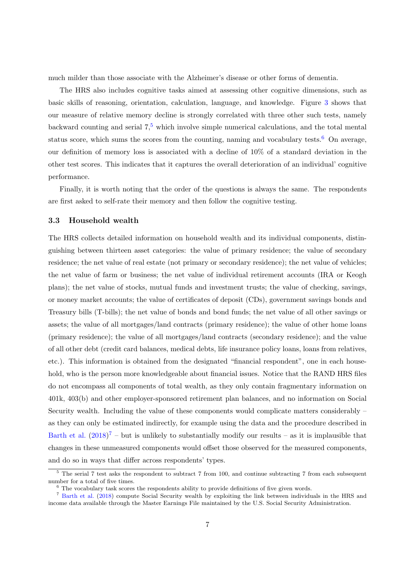much milder than those associate with the Alzheimer's disease or other forms of dementia.

The HRS also includes cognitive tasks aimed at assessing other cognitive dimensions, such as basic skills of reasoning, orientation, calculation, language, and knowledge. Figure [3](#page-32-0) shows that our measure of relative memory decline is strongly correlated with three other such tests, namely backward counting and serial  $7<sup>5</sup>$  $7<sup>5</sup>$  $7<sup>5</sup>$  which involve simple numerical calculations, and the total mental status score, which sums the scores from the counting, naming and vocabulary tests.<sup>[6](#page-8-1)</sup> On average, our definition of memory loss is associated with a decline of 10% of a standard deviation in the other test scores. This indicates that it captures the overall deterioration of an individual' cognitive performance.

Finally, it is worth noting that the order of the questions is always the same. The respondents are first asked to self-rate their memory and then follow the cognitive testing.

#### <span id="page-8-3"></span>3.3 Household wealth

The HRS collects detailed information on household wealth and its individual components, distinguishing between thirteen asset categories: the value of primary residence; the value of secondary residence; the net value of real estate (not primary or secondary residence); the net value of vehicles; the net value of farm or business; the net value of individual retirement accounts (IRA or Keogh plans); the net value of stocks, mutual funds and investment trusts; the value of checking, savings, or money market accounts; the value of certificates of deposit (CDs), government savings bonds and Treasury bills (T-bills); the net value of bonds and bond funds; the net value of all other savings or assets; the value of all mortgages/land contracts (primary residence); the value of other home loans (primary residence); the value of all mortgages/land contracts (secondary residence); and the value of all other debt (credit card balances, medical debts, life insurance policy loans, loans from relatives, etc.). This information is obtained from the designated "financial respondent", one in each household, who is the person more knowledgeable about financial issues. Notice that the RAND HRS files do not encompass all components of total wealth, as they only contain fragmentary information on 401k, 403(b) and other employer-sponsored retirement plan balances, and no information on Social Security wealth. Including the value of these components would complicate matters considerably – as they can only be estimated indirectly, for example using the data and the procedure described in [Barth et al.](#page-20-12)  $(2018)^7$  $(2018)^7$  $(2018)^7$  – but is unlikely to substantially modify our results – as it is implausible that changes in these unmeasured components would offset those observed for the measured components, and do so in ways that differ across respondents' types.

<span id="page-8-0"></span><sup>&</sup>lt;sup>5</sup> The serial 7 test asks the respondent to subtract 7 from 100, and continue subtracting 7 from each subsequent number for a total of five times.

<span id="page-8-2"></span><span id="page-8-1"></span> $6$  The vocabulary task scores the respondents ability to provide definitions of five given words.

<sup>7</sup> [Barth et al.](#page-20-12) [\(2018\)](#page-20-12) compute Social Security wealth by exploiting the link between individuals in the HRS and income data available through the Master Earnings File maintained by the U.S. Social Security Administration.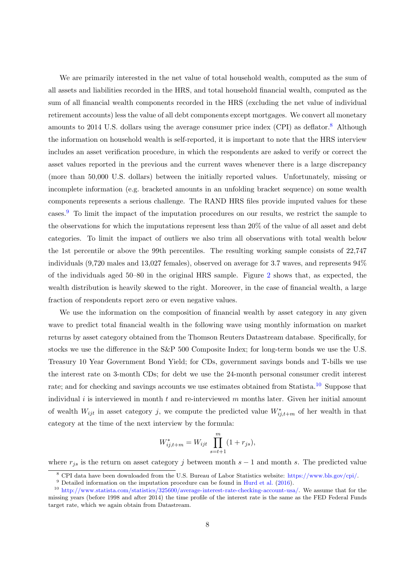We are primarily interested in the net value of total household wealth, computed as the sum of all assets and liabilities recorded in the HRS, and total household financial wealth, computed as the sum of all financial wealth components recorded in the HRS (excluding the net value of individual retirement accounts) less the value of all debt components except mortgages. We convert all monetary amounts to 2014 U.S. dollars using the average consumer price index  $(CPI)$  as deflator.<sup>[8](#page-9-0)</sup> Although the information on household wealth is self-reported, it is important to note that the HRS interview includes an asset verification procedure, in which the respondents are asked to verify or correct the asset values reported in the previous and the current waves whenever there is a large discrepancy (more than 50,000 U.S. dollars) between the initially reported values. Unfortunately, missing or incomplete information (e.g. bracketed amounts in an unfolding bracket sequence) on some wealth components represents a serious challenge. The RAND HRS files provide imputed values for these cases.[9](#page-9-1) To limit the impact of the imputation procedures on our results, we restrict the sample to the observations for which the imputations represent less than 20% of the value of all asset and debt categories. To limit the impact of outliers we also trim all observations with total wealth below the 1st percentile or above the 99th percentiles. The resulting working sample consists of 22,747 individuals (9,720 males and 13,027 females), observed on average for 3.7 waves, and represents 94% of the individuals aged 50–80 in the original HRS sample. Figure [2](#page-31-1) shows that, as expected, the wealth distribution is heavily skewed to the right. Moreover, in the case of financial wealth, a large fraction of respondents report zero or even negative values.

We use the information on the composition of financial wealth by asset category in any given wave to predict total financial wealth in the following wave using monthly information on market returns by asset category obtained from the Thomson Reuters Datastream database. Specifically, for stocks we use the difference in the S&P 500 Composite Index; for long-term bonds we use the U.S. Treasury 10 Year Government Bond Yield; for CDs, government savings bonds and T-bills we use the interest rate on 3-month CDs; for debt we use the 24-month personal consumer credit interest rate; and for checking and savings accounts we use estimates obtained from Statista.<sup>[10](#page-9-2)</sup> Suppose that individual  $i$  is interviewed in month  $t$  and re-interviewed  $m$  months later. Given her initial amount of wealth  $W_{ijt}$  in asset category j, we compute the predicted value  $W^*_{ij,t+m}$  of her wealth in that category at the time of the next interview by the formula:

$$
W_{ij,t+m}^* = W_{ijt} \prod_{s=t+1}^m (1 + r_{js}),
$$

where  $r_{js}$  is the return on asset category j between month s – 1 and month s. The predicted value

<span id="page-9-0"></span><sup>8</sup> CPI data have been downloaded from the U.S. Bureau of Labor Statistics website: [https://www.bls.gov/cpi/.](https://www.bls.gov/cpi/)

<span id="page-9-2"></span><span id="page-9-1"></span><sup>&</sup>lt;sup>9</sup> Detailed information on the imputation procedure can be found in [Hurd et al.](#page-21-11) [\(2016\)](#page-21-11).

<sup>10</sup> [http://www.statista.com/statistics/325600/average-interest-rate-checking-account-usa/.](http://www.statista.com/statistics/325600/average-interest-rate-checking-account-usa/) We assume that for the missing years (before 1998 and after 2014) the time profile of the interest rate is the same as the FED Federal Funds target rate, which we again obtain from Datastream.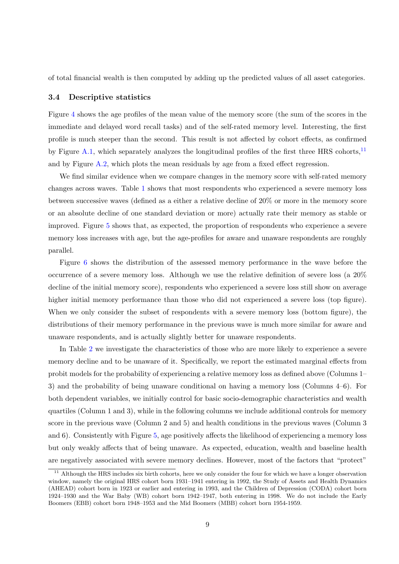of total financial wealth is then computed by adding up the predicted values of all asset categories.

#### 3.4 Descriptive statistics

Figure [4](#page-32-1) shows the age profiles of the mean value of the memory score (the sum of the scores in the immediate and delayed word recall tasks) and of the self-rated memory level. Interesting, the first profile is much steeper than the second. This result is not affected by cohort effects, as confirmed by Figure [A.1,](#page-31-0) which separately analyzes the longitudinal profiles of the first three HRS cohorts,<sup>[11](#page-10-0)</sup> and by Figure  $A.2$ , which plots the mean residuals by age from a fixed effect regression.

We find similar evidence when we compare changes in the memory score with self-rated memory changes across waves. Table [1](#page-24-0) shows that most respondents who experienced a severe memory loss between successive waves (defined as a either a relative decline of 20% or more in the memory score or an absolute decline of one standard deviation or more) actually rate their memory as stable or improved. Figure [5](#page-33-0) shows that, as expected, the proportion of respondents who experience a severe memory loss increases with age, but the age-profiles for aware and unaware respondents are roughly parallel.

Figure [6](#page-34-0) shows the distribution of the assessed memory performance in the wave before the occurrence of a severe memory loss. Although we use the relative definition of severe loss (a 20% decline of the initial memory score), respondents who experienced a severe loss still show on average higher initial memory performance than those who did not experienced a severe loss (top figure). When we only consider the subset of respondents with a severe memory loss (bottom figure), the distributions of their memory performance in the previous wave is much more similar for aware and unaware respondents, and is actually slightly better for unaware respondents.

In Table [2](#page-25-0) we investigate the characteristics of those who are more likely to experience a severe memory decline and to be unaware of it. Specifically, we report the estimated marginal effects from probit models for the probability of experiencing a relative memory loss as defined above (Columns 1– 3) and the probability of being unaware conditional on having a memory loss (Columns 4–6). For both dependent variables, we initially control for basic socio-demographic characteristics and wealth quartiles (Column 1 and 3), while in the following columns we include additional controls for memory score in the previous wave (Column 2 and 5) and health conditions in the previous waves (Column 3 and 6). Consistently with Figure [5,](#page-33-0) age positively affects the likelihood of experiencing a memory loss but only weakly affects that of being unaware. As expected, education, wealth and baseline health are negatively associated with severe memory declines. However, most of the factors that "protect"

<span id="page-10-0"></span> $11$  Although the HRS includes six birth cohorts, here we only consider the four for which we have a longer observation window, namely the original HRS cohort born 1931–1941 entering in 1992, the Study of Assets and Health Dynamics (AHEAD) cohort born in 1923 or earlier and entering in 1993, and the Children of Depression (CODA) cohort born 1924–1930 and the War Baby (WB) cohort born 1942–1947, both entering in 1998. We do not include the Early Boomers (EBB) cohort born 1948–1953 and the Mid Boomers (MBB) cohort born 1954-1959.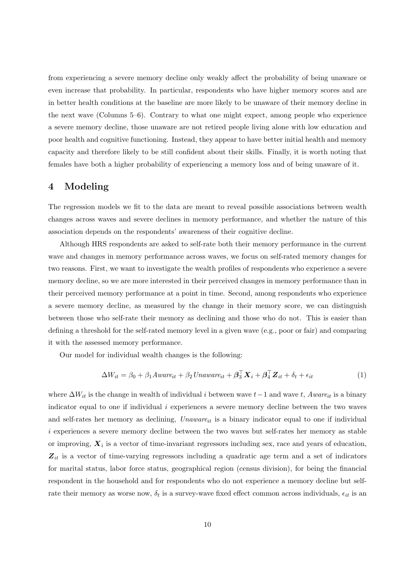from experiencing a severe memory decline only weakly affect the probability of being unaware or even increase that probability. In particular, respondents who have higher memory scores and are in better health conditions at the baseline are more likely to be unaware of their memory decline in the next wave (Columns 5–6). Contrary to what one might expect, among people who experience a severe memory decline, those unaware are not retired people living alone with low education and poor health and cognitive functioning. Instead, they appear to have better initial health and memory capacity and therefore likely to be still confident about their skills. Finally, it is worth noting that females have both a higher probability of experiencing a memory loss and of being unaware of it.

# <span id="page-11-0"></span>4 Modeling

The regression models we fit to the data are meant to reveal possible associations between wealth changes across waves and severe declines in memory performance, and whether the nature of this association depends on the respondents' awareness of their cognitive decline.

Although HRS respondents are asked to self-rate both their memory performance in the current wave and changes in memory performance across waves, we focus on self-rated memory changes for two reasons. First, we want to investigate the wealth profiles of respondents who experience a severe memory decline, so we are more interested in their perceived changes in memory performance than in their perceived memory performance at a point in time. Second, among respondents who experience a severe memory decline, as measured by the change in their memory score, we can distinguish between those who self-rate their memory as declining and those who do not. This is easier than defining a threshold for the self-rated memory level in a given wave (e.g., poor or fair) and comparing it with the assessed memory performance.

Our model for individual wealth changes is the following:

<span id="page-11-1"></span>
$$
\Delta W_{it} = \beta_0 + \beta_1 Aware_{it} + \beta_2 Unaware_{it} + \boldsymbol{\beta}_3^{\top} \boldsymbol{X}_i + \boldsymbol{\beta}_4^{\top} \boldsymbol{Z}_{it} + \delta_t + \epsilon_{it}
$$
(1)

where  $\Delta W_{it}$  is the change in wealth of individual i between wave  $t-1$  and wave t, Aware<sub>it</sub> is a binary indicator equal to one if individual  $i$  experiences a severe memory decline between the two waves and self-rates her memory as declining,  $Unaware_{it}$  is a binary indicator equal to one if individual i experiences a severe memory decline between the two waves but self-rates her memory as stable or improving,  $X_i$  is a vector of time-invariant regressors including sex, race and years of education,  $Z_{it}$  is a vector of time-varying regressors including a quadratic age term and a set of indicators for marital status, labor force status, geographical region (census division), for being the financial respondent in the household and for respondents who do not experience a memory decline but selfrate their memory as worse now,  $\delta_t$  is a survey-wave fixed effect common across individuals,  $\epsilon_{it}$  is an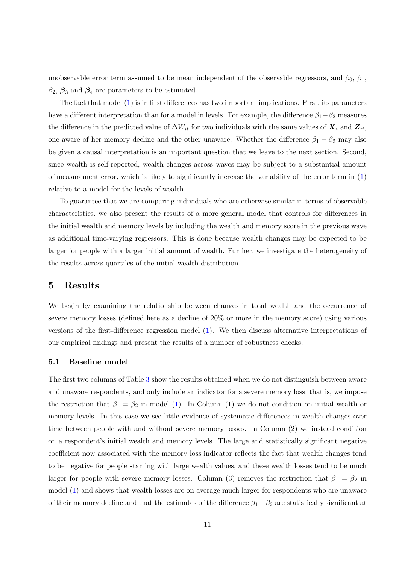unobservable error term assumed to be mean independent of the observable regressors, and  $\beta_0$ ,  $\beta_1$ ,  $\beta_2$ ,  $\beta_3$  and  $\beta_4$  are parameters to be estimated.

The fact that model [\(1\)](#page-11-1) is in first differences has two important implications. First, its parameters have a different interpretation than for a model in levels. For example, the difference  $\beta_1-\beta_2$  measures the difference in the predicted value of  $\Delta W_{it}$  for two individuals with the same values of  $\mathbf{X}_i$  and  $\mathbf{Z}_{it}$ , one aware of her memory decline and the other unaware. Whether the difference  $\beta_1 - \beta_2$  may also be given a causal interpretation is an important question that we leave to the next section. Second, since wealth is self-reported, wealth changes across waves may be subject to a substantial amount of measurement error, which is likely to significantly increase the variability of the error term in ([1\)](#page-11-1) relative to a model for the levels of wealth.

To guarantee that we are comparing individuals who are otherwise similar in terms of observable characteristics, we also present the results of a more general model that controls for differences in the initial wealth and memory levels by including the wealth and memory score in the previous wave as additional time-varying regressors. This is done because wealth changes may be expected to be larger for people with a larger initial amount of wealth. Further, we investigate the heterogeneity of the results across quartiles of the initial wealth distribution.

# <span id="page-12-0"></span>5 Results

We begin by examining the relationship between changes in total wealth and the occurrence of severe memory losses (defined here as a decline of 20% or more in the memory score) using various versions of the first-difference regression model [\(1\)](#page-11-1). We then discuss alternative interpretations of our empirical findings and present the results of a number of robustness checks.

#### 5.1 Baseline model

The first two columns of Table [3](#page-26-0) show the results obtained when we do not distinguish between aware and unaware respondents, and only include an indicator for a severe memory loss, that is, we impose the restriction that  $\beta_1 = \beta_2$  in model [\(1\)](#page-11-1). In Column (1) we do not condition on initial wealth or memory levels. In this case we see little evidence of systematic differences in wealth changes over time between people with and without severe memory losses. In Column (2) we instead condition on a respondent's initial wealth and memory levels. The large and statistically significant negative coefficient now associated with the memory loss indicator reflects the fact that wealth changes tend to be negative for people starting with large wealth values, and these wealth losses tend to be much larger for people with severe memory losses. Column (3) removes the restriction that  $\beta_1 = \beta_2$  in model [\(1\)](#page-11-1) and shows that wealth losses are on average much larger for respondents who are unaware of their memory decline and that the estimates of the difference  $\beta_1 - \beta_2$  are statistically significant at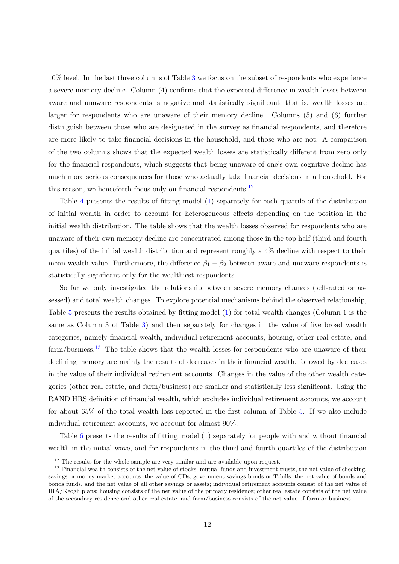10% level. In the last three columns of Table [3](#page-26-0) we focus on the subset of respondents who experience a severe memory decline. Column (4) confirms that the expected difference in wealth losses between aware and unaware respondents is negative and statistically significant, that is, wealth losses are larger for respondents who are unaware of their memory decline. Columns (5) and (6) further distinguish between those who are designated in the survey as financial respondents, and therefore are more likely to take financial decisions in the household, and those who are not. A comparison of the two columns shows that the expected wealth losses are statistically different from zero only for the financial respondents, which suggests that being unaware of one's own cognitive decline has much more serious consequences for those who actually take financial decisions in a household. For this reason, we henceforth focus only on financial respondents. $^{12}$  $^{12}$  $^{12}$ 

Table [4](#page-26-1) presents the results of fitting model [\(1\)](#page-11-1) separately for each quartile of the distribution of initial wealth in order to account for heterogeneous effects depending on the position in the initial wealth distribution. The table shows that the wealth losses observed for respondents who are unaware of their own memory decline are concentrated among those in the top half (third and fourth quartiles) of the initial wealth distribution and represent roughly a 4% decline with respect to their mean wealth value. Furthermore, the difference  $\beta_1 - \beta_2$  between aware and unaware respondents is statistically significant only for the wealthiest respondents.

So far we only investigated the relationship between severe memory changes (self-rated or assessed) and total wealth changes. To explore potential mechanisms behind the observed relationship, Table [5](#page-27-0) presents the results obtained by fitting model [\(1\)](#page-11-1) for total wealth changes (Column 1 is the same as Column 3 of Table [3\)](#page-26-0) and then separately for changes in the value of five broad wealth categories, namely financial wealth, individual retirement accounts, housing, other real estate, and farm/business.<sup>[13](#page-13-1)</sup> The table shows that the wealth losses for respondents who are unaware of their declining memory are mainly the results of decreases in their financial wealth, followed by decreases in the value of their individual retirement accounts. Changes in the value of the other wealth categories (other real estate, and farm/business) are smaller and statistically less significant. Using the RAND HRS definition of financial wealth, which excludes individual retirement accounts, we account for about 65% of the total wealth loss reported in the first column of Table [5.](#page-27-0) If we also include individual retirement accounts, we account for almost 90%.

Table [6](#page-27-1) presents the results of fitting model [\(1\)](#page-11-1) separately for people with and without financial wealth in the initial wave, and for respondents in the third and fourth quartiles of the distribution

<span id="page-13-1"></span><span id="page-13-0"></span><sup>&</sup>lt;sup>12</sup> The results for the whole sample are very similar and are available upon request.

<sup>&</sup>lt;sup>13</sup> Financial wealth consists of the net value of stocks, mutual funds and investment trusts, the net value of checking, savings or money market accounts, the value of CDs, government savings bonds or T-bills, the net value of bonds and bonds funds, and the net value of all other savings or assets; individual retirement accounts consist of the net value of IRA/Keogh plans; housing consists of the net value of the primary residence; other real estate consists of the net value of the secondary residence and other real estate; and farm/business consists of the net value of farm or business.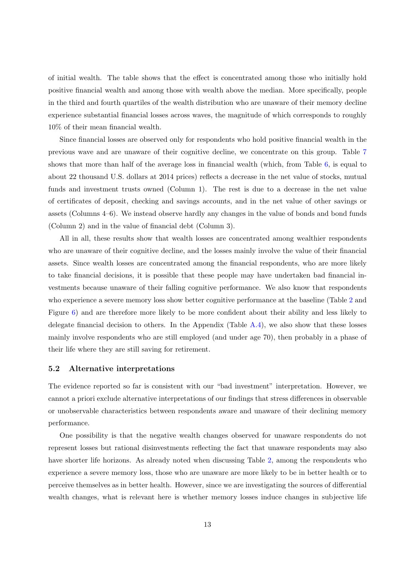of initial wealth. The table shows that the effect is concentrated among those who initially hold positive financial wealth and among those with wealth above the median. More specifically, people in the third and fourth quartiles of the wealth distribution who are unaware of their memory decline experience substantial financial losses across waves, the magnitude of which corresponds to roughly 10% of their mean financial wealth.

Since financial losses are observed only for respondents who hold positive financial wealth in the previous wave and are unaware of their cognitive decline, we concentrate on this group. Table [7](#page-28-0) shows that more than half of the average loss in financial wealth (which, from Table [6,](#page-27-1) is equal to about 22 thousand U.S. dollars at 2014 prices) reflects a decrease in the net value of stocks, mutual funds and investment trusts owned (Column 1). The rest is due to a decrease in the net value of certificates of deposit, checking and savings accounts, and in the net value of other savings or assets (Columns 4–6). We instead observe hardly any changes in the value of bonds and bond funds (Column 2) and in the value of financial debt (Column 3).

All in all, these results show that wealth losses are concentrated among wealthier respondents who are unaware of their cognitive decline, and the losses mainly involve the value of their financial assets. Since wealth losses are concentrated among the financial respondents, who are more likely to take financial decisions, it is possible that these people may have undertaken bad financial investments because unaware of their falling cognitive performance. We also know that respondents who experience a severe memory loss show better cognitive performance at the baseline (Table [2](#page-25-0) and Figure [6\)](#page-34-0) and are therefore more likely to be more confident about their ability and less likely to delegate financial decision to others. In the Appendix (Table [A.4\)](#page-26-1), we also show that these losses mainly involve respondents who are still employed (and under age 70), then probably in a phase of their life where they are still saving for retirement.

#### 5.2 Alternative interpretations

The evidence reported so far is consistent with our "bad investment" interpretation. However, we cannot a priori exclude alternative interpretations of our findings that stress differences in observable or unobservable characteristics between respondents aware and unaware of their declining memory performance.

One possibility is that the negative wealth changes observed for unaware respondents do not represent losses but rational disinvestments reflecting the fact that unaware respondents may also have shorter life horizons. As already noted when discussing Table [2,](#page-25-0) among the respondents who experience a severe memory loss, those who are unaware are more likely to be in better health or to perceive themselves as in better health. However, since we are investigating the sources of differential wealth changes, what is relevant here is whether memory losses induce changes in subjective life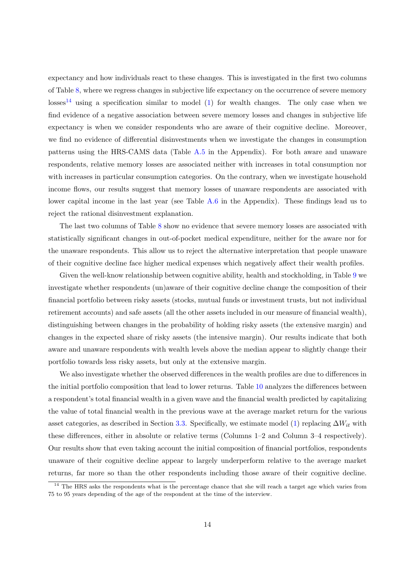expectancy and how individuals react to these changes. This is investigated in the first two columns of Table [8,](#page-29-0) where we regress changes in subjective life expectancy on the occurrence of severe memory  $losses<sup>14</sup>$  $losses<sup>14</sup>$  $losses<sup>14</sup>$  using a specification similar to model [\(1\)](#page-11-1) for wealth changes. The only case when we find evidence of a negative association between severe memory losses and changes in subjective life expectancy is when we consider respondents who are aware of their cognitive decline. Moreover, we find no evidence of differential disinvestments when we investigate the changes in consumption patterns using the HRS-CAMS data (Table [A.5](#page-27-0) in the Appendix). For both aware and unaware respondents, relative memory losses are associated neither with increases in total consumption nor with increases in particular consumption categories. On the contrary, when we investigate household income flows, our results suggest that memory losses of unaware respondents are associated with lower capital income in the last year (see Table [A.6](#page-27-1) in the Appendix). These findings lead us to reject the rational disinvestment explanation.

The last two columns of Table [8](#page-29-0) show no evidence that severe memory losses are associated with statistically significant changes in out-of-pocket medical expenditure, neither for the aware nor for the unaware respondents. This allow us to reject the alternative interpretation that people unaware of their cognitive decline face higher medical expenses which negatively affect their wealth profiles.

Given the well-know relationship between cognitive ability, health and stockholding, in Table [9](#page-29-1) we investigate whether respondents (un)aware of their cognitive decline change the composition of their financial portfolio between risky assets (stocks, mutual funds or investment trusts, but not individual retirement accounts) and safe assets (all the other assets included in our measure of financial wealth), distinguishing between changes in the probability of holding risky assets (the extensive margin) and changes in the expected share of risky assets (the intensive margin). Our results indicate that both aware and unaware respondents with wealth levels above the median appear to slightly change their portfolio towards less risky assets, but only at the extensive margin.

We also investigate whether the observed differences in the wealth profiles are due to differences in the initial portfolio composition that lead to lower returns. Table [10](#page-30-0) analyzes the differences between a respondent's total financial wealth in a given wave and the financial wealth predicted by capitalizing the value of total financial wealth in the previous wave at the average market return for the various asset categories, as described in Section [3.3.](#page-8-3) Specifically, we estimate model [\(1\)](#page-11-1) replacing  $\Delta W_{it}$  with these differences, either in absolute or relative terms (Columns 1–2 and Column 3–4 respectively). Our results show that even taking account the initial composition of financial portfolios, respondents unaware of their cognitive decline appear to largely underperform relative to the average market returns, far more so than the other respondents including those aware of their cognitive decline.

<span id="page-15-0"></span><sup>&</sup>lt;sup>14</sup> The HRS asks the respondents what is the percentage chance that she will reach a target age which varies from 75 to 95 years depending of the age of the respondent at the time of the interview.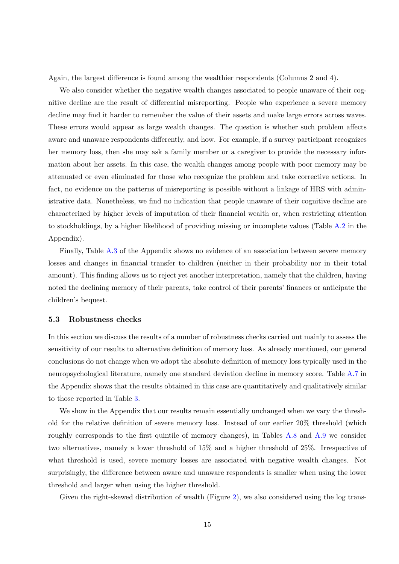Again, the largest difference is found among the wealthier respondents (Columns 2 and 4).

We also consider whether the negative wealth changes associated to people unaware of their cognitive decline are the result of differential misreporting. People who experience a severe memory decline may find it harder to remember the value of their assets and make large errors across waves. These errors would appear as large wealth changes. The question is whether such problem affects aware and unaware respondents differently, and how. For example, if a survey participant recognizes her memory loss, then she may ask a family member or a caregiver to provide the necessary information about her assets. In this case, the wealth changes among people with poor memory may be attenuated or even eliminated for those who recognize the problem and take corrective actions. In fact, no evidence on the patterns of misreporting is possible without a linkage of HRS with administrative data. Nonetheless, we find no indication that people unaware of their cognitive decline are characterized by higher levels of imputation of their financial wealth or, when restricting attention to stockholdings, by a higher likelihood of providing missing or incomplete values (Table [A.2](#page-25-0) in the Appendix).

Finally, Table [A.3](#page-26-0) of the Appendix shows no evidence of an association between severe memory losses and changes in financial transfer to children (neither in their probability nor in their total amount). This finding allows us to reject yet another interpretation, namely that the children, having noted the declining memory of their parents, take control of their parents' finances or anticipate the children's bequest.

#### 5.3 Robustness checks

In this section we discuss the results of a number of robustness checks carried out mainly to assess the sensitivity of our results to alternative definition of memory loss. As already mentioned, our general conclusions do not change when we adopt the absolute definition of memory loss typically used in the neuropsychological literature, namely one standard deviation decline in memory score. Table [A.7](#page-28-0) in the Appendix shows that the results obtained in this case are quantitatively and qualitatively similar to those reported in Table [3.](#page-26-0)

We show in the Appendix that our results remain essentially unchanged when we vary the threshold for the relative definition of severe memory loss. Instead of our earlier 20% threshold (which roughly corresponds to the first quintile of memory changes), in Tables [A.8](#page-29-0) and [A.9](#page-29-1) we consider two alternatives, namely a lower threshold of 15% and a higher threshold of 25%. Irrespective of what threshold is used, severe memory losses are associated with negative wealth changes. Not surprisingly, the difference between aware and unaware respondents is smaller when using the lower threshold and larger when using the higher threshold.

Given the right-skewed distribution of wealth (Figure [2\)](#page-31-1), we also considered using the log trans-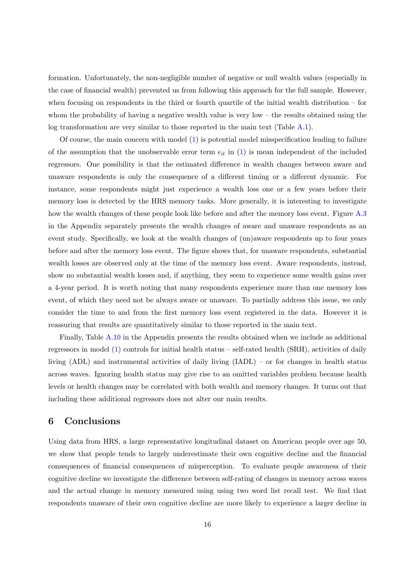formation. Unfortunately, the non-negligible number of negative or null wealth values (especially in the case of financial wealth) prevented us from following this approach for the full sample. However, when focusing on respondents in the third or fourth quartile of the initial wealth distribution – for whom the probability of having a negative wealth value is very low – the results obtained using the log transformation are very similar to those reported in the main text (Table [A.1\)](#page-24-0).

Of course, the main concern with model [\(1\)](#page-11-1) is potential model misspecification leading to failure of the assumption that the unobservable error term  $\epsilon_{it}$  in [\(1\)](#page-11-1) is mean independent of the included regressors. One possibility is that the estimated difference in wealth changes between aware and unaware respondents is only the consequence of a different timing or a different dynamic. For instance, some respondents might just experience a wealth loss one or a few years before their memory loss is detected by the HRS memory tasks. More generally, it is interesting to investigate how the wealth changes of these people look like before and after the memory loss event. Figure [A.3](#page-32-0) in the Appendix separately presents the wealth changes of aware and unaware respondents as an event study. Specifically, we look at the wealth changes of (un)aware respondents up to four years before and after the memory loss event. The figure shows that, for unaware respondents, substantial wealth losses are observed only at the time of the memory loss event. Aware respondents, instead, show no substantial wealth losses and, if anything, they seem to experience some wealth gains over a 4-year period. It is worth noting that many respondents experience more than one memory loss event, of which they need not be always aware or unaware. To partially address this issue, we only consider the time to and from the first memory loss event registered in the data. However it is reassuring that results are quantitatively similar to those reported in the main text.

Finally, Table [A.10](#page-30-0) in the Appendix presents the results obtained when we include as additional regressors in model [\(1\)](#page-11-1) controls for initial health status – self-rated health (SRH), activities of daily living (ADL) and instrumental activities of daily living (IADL) – or for changes in health status across waves. Ignoring health status may give rise to an omitted variables problem because health levels or health changes may be correlated with both wealth and memory changes. It turns out that including these additional regressors does not alter our main results.

# <span id="page-17-0"></span>6 Conclusions

Using data from HRS, a large representative longitudinal dataset on American people over age 50, we show that people tends to largely underestimate their own cognitive decline and the financial consequences of financial consequences of misperception. To evaluate people awareness of their cognitive decline we investigate the difference between self-rating of changes in memory across waves and the actual change in memory measured using using two word list recall test. We find that respondents unaware of their own cognitive decline are more likely to experience a larger decline in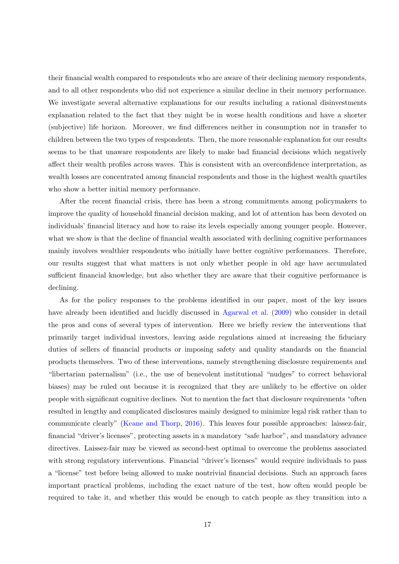their financial wealth compared to respondents who are aware of their declining memory respondents, and to all other respondents who did not experience a similar decline in their memory performance. We investigate several alternative explanations for our results including a rational disinvestments explanation related to the fact that they might be in worse health conditions and have a shorter (subjective) life horizon. Moreover, we find differences neither in consumption nor in transfer to children between the two types of respondents. Then, the more reasonable explanation for our results seems to be that unaware respondents are likely to make bad financial decisions which negatively affect their wealth profiles across waves. This is consistent with an overconfidence interpretation, as wealth losses are concentrated among financial respondents and those in the highest wealth quartiles who show a better initial memory performance.

After the recent financial crisis, there has been a strong commitments among policymakers to improve the quality of household financial decision making, and lot of attention has been devoted on individuals' financial literacy and how to raise its levels especially among younger people. However, what we show is that the decline of financial wealth associated with declining cognitive performances mainly involves wealthier respondents who initially have better cognitive performances. Therefore, our results suggest that what matters is not only whether people in old age have accumulated sufficient financial knowledge, but also whether they are aware that their cognitive performance is declining.

As for the policy responses to the problems identified in our paper, most of the key issues have already been identified and lucidly discussed in [Agarwal et al.](#page-20-2) [\(2009\)](#page-20-2) who consider in detail the pros and cons of several types of intervention. Here we briefly review the interventions that primarily target individual investors, leaving aside regulations aimed at increasing the fiduciary duties of sellers of financial products or imposing safety and quality standards on the financial products themselves. Two of these interventions, namely strengthening disclosure requirements and "libertarian paternalism" (i.e., the use of benevolent institutional "nudges" to correct behavioral biases) may be ruled out because it is recognized that they are unlikely to be effective on older people with significant cognitive declines. Not to mention the fact that disclosure requirements "often resulted in lengthy and complicated disclosures mainly designed to minimize legal risk rather than to communicate clearly" [\(Keane and Thorp,](#page-21-12) [2016\)](#page-21-12). This leaves four possible approaches: laissez-fair, financial "driver's licenses", protecting assets in a mandatory "safe harbor", and mandatory advance directives. Laissez-fair may be viewed as second-best optimal to overcome the problems associated with strong regulatory interventions. Financial "driver's licenses" would require individuals to pass a "license" test before being allowed to make nontrivial financial decisions. Such an approach faces important practical problems, including the exact nature of the test, how often would people be required to take it, and whether this would be enough to catch people as they transition into a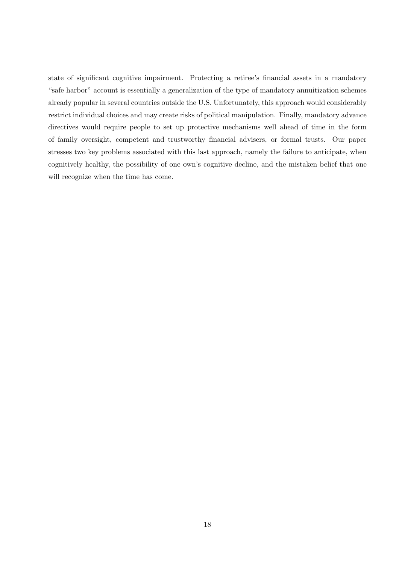state of significant cognitive impairment. Protecting a retiree's financial assets in a mandatory "safe harbor" account is essentially a generalization of the type of mandatory annuitization schemes already popular in several countries outside the U.S. Unfortunately, this approach would considerably restrict individual choices and may create risks of political manipulation. Finally, mandatory advance directives would require people to set up protective mechanisms well ahead of time in the form of family oversight, competent and trustworthy financial advisers, or formal trusts. Our paper stresses two key problems associated with this last approach, namely the failure to anticipate, when cognitively healthy, the possibility of one own's cognitive decline, and the mistaken belief that one will recognize when the time has come.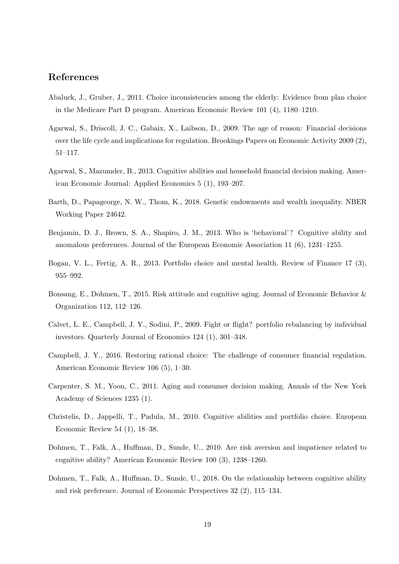# References

- <span id="page-20-5"></span>Abaluck, J., Gruber, J., 2011. Choice inconsistencies among the elderly: Evidence from plan choice in the Medicare Part D program. American Economic Review 101 (4), 1180–1210.
- <span id="page-20-2"></span>Agarwal, S., Driscoll, J. C., Gabaix, X., Laibson, D., 2009. The age of reason: Financial decisions over the life cycle and implications for regulation. Brookings Papers on Economic Activity 2009 (2), 51–117.
- <span id="page-20-1"></span>Agarwal, S., Mazumder, B., 2013. Cognitive abilities and household financial decision making. American Economic Journal: Applied Economics 5 (1), 193–207.
- <span id="page-20-12"></span>Barth, D., Papageorge, N. W., Thom, K., 2018. Genetic endowments and wealth inequality. NBER Working Paper 24642.
- <span id="page-20-7"></span>Benjamin, D. J., Brown, S. A., Shapiro, J. M., 2013. Who is 'behavioral'? Cognitive ability and anomalous preferences. Journal of the European Economic Association 11 (6), 1231–1255.
- <span id="page-20-11"></span>Bogan, V. L., Fertig, A. R., 2013. Portfolio choice and mental health. Review of Finance 17 (3), 955–992.
- <span id="page-20-9"></span>Bonsang, E., Dohmen, T., 2015. Risk attitude and cognitive aging. Journal of Economic Behavior & Organization 112, 112–126.
- <span id="page-20-3"></span>Calvet, L. E., Campbell, J. Y., Sodini, P., 2009. Fight or flight? portfolio rebalancing by individual investors. Quarterly Journal of Economics 124 (1), 301–348.
- <span id="page-20-0"></span>Campbell, J. Y., 2016. Restoring rational choice: The challenge of consumer financial regulation. American Economic Review 106 (5), 1–30.
- <span id="page-20-4"></span>Carpenter, S. M., Yoon, C., 2011. Aging and consumer decision making. Annals of the New York Academy of Sciences 1235 (1).
- <span id="page-20-10"></span>Christelis, D., Jappelli, T., Padula, M., 2010. Cognitive abilities and portfolio choice. European Economic Review 54 (1), 18–38.
- <span id="page-20-6"></span>Dohmen, T., Falk, A., Huffman, D., Sunde, U., 2010. Are risk aversion and impatience related to cognitive ability? American Economic Review 100 (3), 1238–1260.
- <span id="page-20-8"></span>Dohmen, T., Falk, A., Huffman, D., Sunde, U., 2018. On the relationship between cognitive ability and risk preference. Journal of Economic Perspectives 32 (2), 115–134.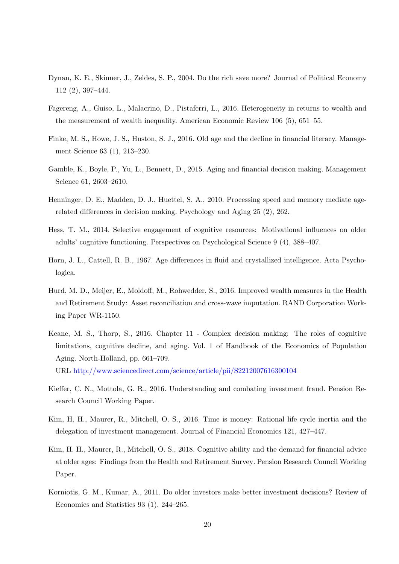- <span id="page-21-5"></span>Dynan, K. E., Skinner, J., Zeldes, S. P., 2004. Do the rich save more? Journal of Political Economy 112 (2), 397–444.
- <span id="page-21-6"></span>Fagereng, A., Guiso, L., Malacrino, D., Pistaferri, L., 2016. Heterogeneity in returns to wealth and the measurement of wealth inequality. American Economic Review 106 (5), 651–55.
- <span id="page-21-2"></span>Finke, M. S., Howe, J. S., Huston, S. J., 2016. Old age and the decline in financial literacy. Management Science 63 (1), 213–230.
- <span id="page-21-4"></span>Gamble, K., Boyle, P., Yu, L., Bennett, D., 2015. Aging and financial decision making. Management Science 61, 2603–2610.
- <span id="page-21-10"></span>Henninger, D. E., Madden, D. J., Huettel, S. A., 2010. Processing speed and memory mediate agerelated differences in decision making. Psychology and Aging 25 (2), 262.
- <span id="page-21-8"></span>Hess, T. M., 2014. Selective engagement of cognitive resources: Motivational influences on older adults' cognitive functioning. Perspectives on Psychological Science 9 (4), 388–407.
- <span id="page-21-7"></span>Horn, J. L., Cattell, R. B., 1967. Age differences in fluid and crystallized intelligence. Acta Psychologica.
- <span id="page-21-11"></span>Hurd, M. D., Meijer, E., Moldoff, M., Rohwedder, S., 2016. Improved wealth measures in the Health and Retirement Study: Asset reconciliation and cross-wave imputation. RAND Corporation Working Paper WR-1150.
- <span id="page-21-12"></span>Keane, M. S., Thorp, S., 2016. Chapter 11 - Complex decision making: The roles of cognitive limitations, cognitive decline, and aging. Vol. 1 of Handbook of the Economics of Population Aging. North-Holland, pp. 661–709.

URL <http://www.sciencedirect.com/science/article/pii/S2212007616300104>

- <span id="page-21-0"></span>Kieffer, C. N., Mottola, G. R., 2016. Understanding and combating investment fraud. Pension Research Council Working Paper.
- <span id="page-21-9"></span>Kim, H. H., Maurer, R., Mitchell, O. S., 2016. Time is money: Rational life cycle inertia and the delegation of investment management. Journal of Financial Economics 121, 427–447.
- <span id="page-21-3"></span>Kim, H. H., Maurer, R., Mitchell, O. S., 2018. Cognitive ability and the demand for financial advice at older ages: Findings from the Health and Retirement Survey. Pension Research Council Working Paper.
- <span id="page-21-1"></span>Korniotis, G. M., Kumar, A., 2011. Do older investors make better investment decisions? Review of Economics and Statistics 93 (1), 244–265.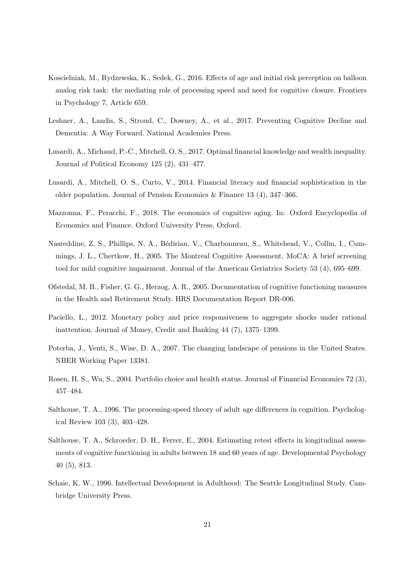- <span id="page-22-8"></span>Koscielniak, M., Rydzewska, K., Sedek, G., 2016. Effects of age and initial risk perception on balloon analog risk task: the mediating role of processing speed and need for cognitive closure. Frontiers in Psychology 7, Article 659.
- <span id="page-22-4"></span>Leshner, A., Landis, S., Stroud, C., Downey, A., et al., 2017. Preventing Cognitive Decline and Dementia: A Way Forward. National Academies Press.
- <span id="page-22-2"></span>Lusardi, A., Michaud, P.-C., Mitchell, O. S., 2017. Optimal financial knowledge and wealth inequality. Journal of Political Economy 125 (2), 431–477.
- <span id="page-22-1"></span>Lusardi, A., Mitchell, O. S., Curto, V., 2014. Financial literacy and financial sophistication in the older population. Journal of Pension Economics & Finance 13 (4),  $347-366$ .
- <span id="page-22-6"></span>Mazzonna, F., Peracchi, F., 2018. The economics of cognitive aging. In: Oxford Encyclopedia of Economics and Finance. Oxford University Press, Oxford.
- <span id="page-22-11"></span>Nasreddine, Z. S., Phillips, N. A., Bédirian, V., Charbonneau, S., Whitehead, V., Collin, I., Cummings, J. L., Chertkow, H., 2005. The Montreal Cognitive Assessment, MoCA: A brief screening tool for mild cognitive impairment. Journal of the American Geriatrics Society 53 (4), 695–699.
- <span id="page-22-12"></span>Ofstedal, M. B., Fisher, G. G., Herzog, A. R., 2005. Documentation of cognitive functioning measures in the Health and Retirement Study. HRS Documentation Report DR-006.
- <span id="page-22-7"></span>Paciello, L., 2012. Monetary policy and price responsiveness to aggregate shocks under rational inattention. Journal of Money, Credit and Banking 44 (7), 1375–1399.
- <span id="page-22-0"></span>Poterba, J., Venti, S., Wise, D. A., 2007. The changing landscape of pensions in the United States. NBER Working Paper 13381.
- <span id="page-22-9"></span>Rosen, H. S., Wu, S., 2004. Portfolio choice and health status. Journal of Financial Economics 72 (3), 457–484.
- <span id="page-22-5"></span>Salthouse, T. A., 1996. The processing-speed theory of adult age differences in cognition. Psychological Review 103 (3), 403–428.
- <span id="page-22-10"></span>Salthouse, T. A., Schroeder, D. H., Ferrer, E., 2004. Estimating retest effects in longitudinal assessments of cognitive functioning in adults between 18 and 60 years of age. Developmental Psychology 40 (5), 813.
- <span id="page-22-3"></span>Schaie, K. W., 1996. Intellectual Development in Adulthood: The Seattle Longitudinal Study. Cambridge University Press.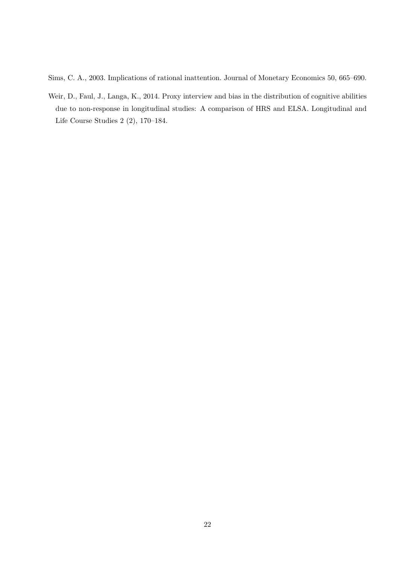<span id="page-23-0"></span>Sims, C. A., 2003. Implications of rational inattention. Journal of Monetary Economics 50, 665–690.

<span id="page-23-1"></span>Weir, D., Faul, J., Langa, K., 2014. Proxy interview and bias in the distribution of cognitive abilities due to non-response in longitudinal studies: A comparison of HRS and ELSA. Longitudinal and Life Course Studies 2 (2), 170–184.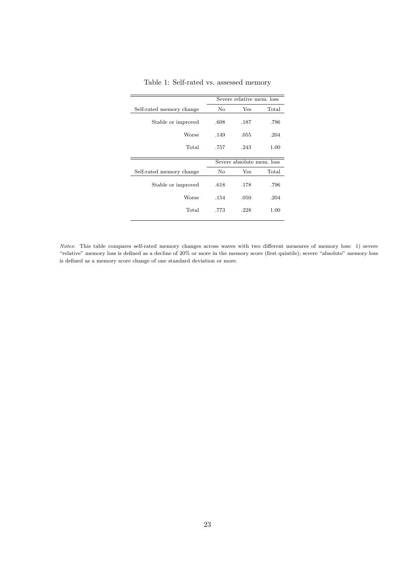|                          |      | Severe relative mem. loss |       |
|--------------------------|------|---------------------------|-------|
| Self-rated memory change | No   | Yes                       | Total |
| Stable or improved       | .608 | .187                      | .796  |
| Worse                    | .149 | .055                      | .204  |
| Total                    | .757 | .243                      | 1.00  |
|                          |      | Severe absolute mem. loss |       |
| Self-rated memory change | No   | Yes                       | Total |
| Stable or improved       | .618 | .178                      | .796  |
|                          |      |                           |       |
| Worse                    | .154 | .050                      | .204  |
| Total                    | .773 | .228                      | 1.00  |

<span id="page-24-0"></span>Table 1: Self-rated vs. assessed memory

Notes: This table compares self-rated memory changes across waves with two different measures of memory loss: 1) severe "relative" memory loss is defined as a decline of 20% or more in the memory score (first quintile); severe "absolute" memory loss is defined as a memory score change of one standard deviation or more.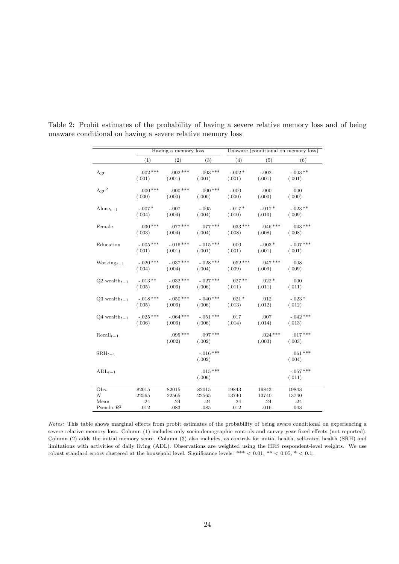|                                         |                       | Having a memory loss  |                       | Unaware (conditional on memory loss) |                     |                       |  |
|-----------------------------------------|-----------------------|-----------------------|-----------------------|--------------------------------------|---------------------|-----------------------|--|
|                                         | (1)                   | (2)                   | (3)                   | (4)                                  | (5)                 | (6)                   |  |
| Age                                     | $.002$ ***<br>(.001)  | $.002***$<br>(.001)   | $.003***$<br>(.001)   | $-.002*$<br>(.001)                   | $-.002$<br>(.001)   | $-.003**$<br>(.001)   |  |
| Age <sup>2</sup>                        | $.000***$<br>(.000)   | $.000***$<br>(.000)   | $.000***$<br>(.000)   | $-.000$<br>(.000)                    | .000<br>(.000)      | .000<br>(.000)        |  |
| Alone $_{t-1}$                          | $-.007*$<br>(.004)    | $-.007$<br>(.004)     | $-.005$<br>(.004)     | $-.017*$<br>(.010)                   | $-.017*$<br>(.010)  | $-.023**$<br>(.009)   |  |
| Female                                  | $.030***$<br>(.003)   | $.077***$<br>(.004)   | $.077***$<br>(.004)   | $.033***$<br>(.008)                  | $.046***$<br>(.008) | $.043***$<br>(.008)   |  |
| Education                               | $-.005$ ***<br>(.001) | $-.016***$<br>(.001)  | $-.015***$<br>(.001)  | .000<br>(.001)                       | $-.003*$<br>(.001)  | $-.007$ ***<br>(.001) |  |
| Working $t-1$                           | $-.020$ ***<br>(.004) | $-.037***$<br>(.004)  | $-.028***$<br>(.004)  | $.052***$<br>(.009)                  | $.047***$<br>(.009) | .008<br>(.009)        |  |
| $Q2$ wealth <sub><math>t-1</math></sub> | $-.013**$<br>(.005)   | $-0.32***$<br>(.006)  | $-.027***$<br>(.006)  | $.027**$<br>(.011)                   | $.022*$<br>(.011)   | .000<br>(.011)        |  |
| $Q3$ wealth $t-1$                       | $-.018***$<br>(.005)  | $-.050$ ***<br>(.006) | $-.040***$<br>(.006)  | $.021*$<br>(.013)                    | .012<br>(.012)      | $-.023*$<br>(.012)    |  |
| $Q4$ wealth $t-1$                       | $-.025$ ***<br>(.006) | $-.064***$<br>(.006)  | $-.051***$<br>(.006)  | .017<br>(.014)                       | .007<br>(.014)      | $-.042$ ***<br>(.013) |  |
| $Recall_{t-1}$                          |                       | $.095***$<br>(.002)   | $.097***$<br>(.002)   |                                      | $.024***$<br>(.003) | $.017***$<br>(.003)   |  |
| $\text{SRH}_{t-1}$                      |                       |                       | $-.016$ ***<br>(.002) |                                      |                     | $.061***$<br>(.004)   |  |
| $ADL_{t-1}$                             |                       |                       | $.015***$<br>(.006)   |                                      |                     | $-.057***$<br>(.011)  |  |
| Obs.                                    | 82015                 | 82015                 | 82015                 | 19843                                | 19843               | 19843                 |  |
| $\boldsymbol{N}$<br>Mean                | 22565<br>.24          | 22565<br>.24          | 22565<br>.24          | 13740                                | 13740<br>.24        | 13740                 |  |
| Pseudo $R^2$                            | .012                  | .083                  | .085                  | .24<br>.012                          | .016                | .24<br>.043           |  |

<span id="page-25-0"></span>Table 2: Probit estimates of the probability of having a severe relative memory loss and of being unaware conditional on having a severe relative memory loss

Notes: This table shows marginal effects from probit estimates of the probability of being aware conditional on experiencing a severe relative memory loss. Column (1) includes only socio-demographic controls and survey year fixed effects (not reported). Column (2) adds the initial memory score. Column (3) also includes, as controls for initial health, self-rated health (SRH) and limitations with activities of daily living (ADL). Observations are weighted using the HRS respondent-level weights. We use robust standard errors clustered at the household level. Significance levels: \*\*\*  $< 0.01,$  \*\*  $< 0.05,$  \*  $< 0.1$ .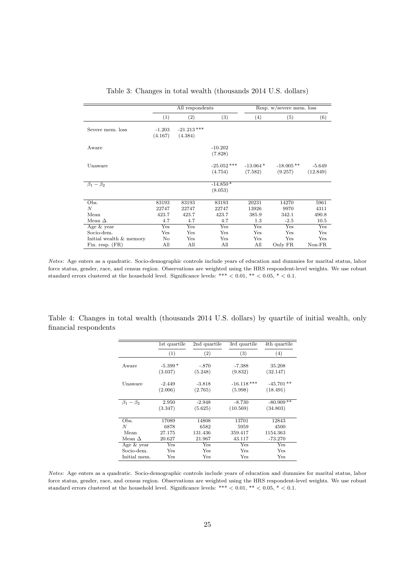|                         |                     | All respondents          |                          |                       | Resp. w/severe mem. loss |                           |
|-------------------------|---------------------|--------------------------|--------------------------|-----------------------|--------------------------|---------------------------|
|                         | (1)                 | $\left( 2\right)$        | $\left( 3\right)$        | (4)                   | (5)                      | (6)                       |
| Severe mem. loss        | $-1.203$<br>(4.167) | $-21.213$ ***<br>(4.384) |                          |                       |                          |                           |
| Aware                   |                     |                          | $-10.202$<br>(7.828)     |                       |                          |                           |
| Unaware                 |                     |                          | $-25.052$ ***<br>(4.754) | $-13.064*$<br>(7.582) | $-18.005**$<br>(9.257)   | $-5.649$<br>(12.849)      |
| $\beta_1-\beta_2$       |                     |                          | $-14.850*$<br>(8.053)    |                       |                          |                           |
| Obs.                    | 83193               | 83193                    | 83193                    | 20231                 | 14270                    | 5961                      |
| N                       | 22747               | 22747                    | 22747                    | 13926                 | 9970                     | 4311                      |
| Mean                    | 423.7               | 423.7                    | 423.7                    | 385.9                 | 342.1                    | 490.8                     |
| Mean $\Delta$           | 4.7                 | 4.7                      | 4.7                      | 1.3                   | $-2.5$                   | 10.5                      |
| Age & year              | Yes                 | Yes                      | Yes                      | Yes                   | Yes                      | $\overline{\mathrm{Yes}}$ |
| Socio-dem.              | Yes                 | Yes                      | Yes                      | Yes                   | Yes                      | Yes                       |
| Initial wealth & memory | No                  | Yes                      | Yes                      | Yes                   | Yes                      | Yes                       |
| Fin. resp. $(FR)$       | All                 | All                      | All                      | All                   | Only FR                  | $Non-FR$                  |

<span id="page-26-0"></span>Table 3: Changes in total wealth (thousands 2014 U.S. dollars)

Notes: Age enters as a quadratic. Socio-demographic controls include years of education and dummies for marital status, labor force status, gender, race, and census region. Observations are weighted using the HRS respondent-level weights. We use robust standard errors clustered at the household level. Significance levels: \*\*\*  $< 0.01$ , \*\*  $< 0.05$ , \*  $< 0.1$ .

<span id="page-26-1"></span>

|                       |  | Table 4: Changes in total wealth (thousands 2014 U.S. dollars) by quartile of initial wealth, only |  |  |  |  |  |
|-----------------------|--|----------------------------------------------------------------------------------------------------|--|--|--|--|--|
| financial respondents |  |                                                                                                    |  |  |  |  |  |

|                   | 1st quartile | 2nd quartile | 3rd quartile  | 4th quartile |
|-------------------|--------------|--------------|---------------|--------------|
|                   | (1)          | (2)          | (3)           | (4)          |
|                   |              |              |               |              |
| Aware             | $-5.399*$    | $-.870$      | $-7.388$      | 35.208       |
|                   | (3.037)      | (5.248)      | (9.832)       | (32.147)     |
| Unaware           | $-2.449$     | $-3.818$     | $-16.118$ *** | $-45.701**$  |
|                   | (2.006)      | (2.765)      | (5.998)       | (18.491)     |
| $\beta_1-\beta_2$ | 2.950        | $-2.948$     | $-8.730$      | $-80.909**$  |
|                   |              |              |               |              |
|                   | (3.347)      | (5.625)      | (10.569)      | (34.803)     |
| Obs.              | 17089        | 14808        | 13701         | 12843        |
| N                 | 6878         | 6582         | 5959          | 4500         |
| Mean              | 27.175       | 131.436      | 359.417       | 1154.363     |
| Mean $\Delta$     | 20.627       | 21.967       | 43.117        | $-73.270$    |
| Age & year        | Yes          | Yes          | Yes           | Yes          |
| Socio-dem.        | Yes          | Yes          | Yes           | Yes          |
| Initial mem.      | <b>Yes</b>   | Yes          | Yes           | Yes          |

Notes: Age enters as a quadratic. Socio-demographic controls include years of education and dummies for marital status, labor force status, gender, race, and census region. Observations are weighted using the HRS respondent-level weights. We use robust standard errors clustered at the household level. Significance levels: \*\*\*  $< 0.01$ , \*\*  $< 0.05$ , \*  $< 0.1$ .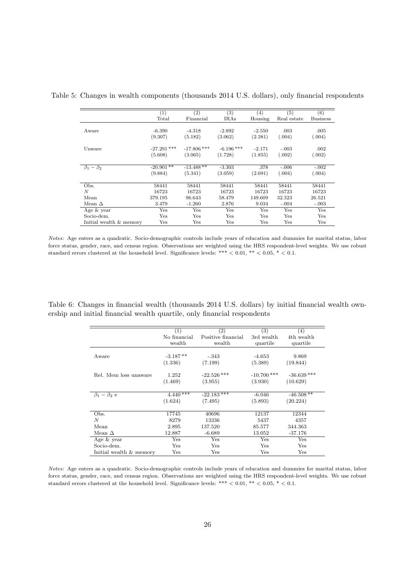<span id="page-27-0"></span>

|                         | (1)           | (2)           | (3)          | $\left( 4\right)$ | (5)         | (6)             |
|-------------------------|---------------|---------------|--------------|-------------------|-------------|-----------------|
|                         | Total         | Financial     | IRAs         | Housing           | Real estate | <b>Business</b> |
|                         |               |               |              |                   |             |                 |
| Aware                   | $-6.390$      | $-4.318$      | $-2.892$     | $-2.550$          | .003        | .005            |
|                         | (9.307)       | (5.182)       | (3.062)      | (2.381)           | (.004)      | (.004)          |
| Unware                  | $-27.291$ *** | $-17.806$ *** | $-6.196$ *** | $-2.171$          | $-.003$     | .002            |
|                         | (5.608)       | (3.065)       | (1.728)      | (1.855)           | (.002)      | (.002)          |
| $\beta_1-\beta_2$       | $-20.901$ **  | $-13.488**$   | $-3.303$     | .378              | $-.006$     | $-.002$         |
|                         | (9.884)       | (5.341)       | (3.059)      | (2.691)           | (.004)      | (.004)          |
| Obs.                    | 58441         | 58441         | 58441        | 58441             | 58441       | 58441           |
| $\overline{N}$          | 16723         | 16723         | 16723        | 16723             | 16723       | 16723           |
| Mean                    | 379.195       | 96.643        | 58.479       | 149.609           | 32.323      | 26.521          |
| Mean $\Delta$           | 3.479         | $-1.260$      | 2.876        | 9.034             | $-.004$     | $-.003$         |
| Age $&$ year            | Yes           | Yes           | Yes          | Yes               | Yes         | Yes             |
| Socio-dem.              | Yes           | Yes           | Yes          | Yes               | Yes         | Yes             |
| Initial wealth & memory | Yes           | Yes           | Yes          | Yes               | Yes         | Yes             |

Table 5: Changes in wealth components (thousands 2014 U.S. dollars), only financial respondents

Notes: Age enters as a quadratic. Socio-demographic controls include years of education and dummies for marital status, labor force status, gender, race, and census region. Observations are weighted using the HRS respondent-level weights. We use robust standard errors clustered at the household level. Significance levels: \*\*\*  $< 0.01$ , \*\*  $< 0.05$ , \*  $< 0.1$ .

Table 6: Changes in financial wealth (thousands 2014 U.S. dollars) by initial financial wealth ownership and initial financial wealth quartile, only financial respondents

<span id="page-27-1"></span>

|                         | (1)          | (2)                | (3)           | (4)           |
|-------------------------|--------------|--------------------|---------------|---------------|
|                         | No financial | Positive financial | 3rd wealth    | 4th wealth    |
|                         | wealth       | wealth             | quartile      | quartile      |
|                         |              |                    |               |               |
| Aware                   | $-3.187**$   | $-.343$            | $-4.653$      | 9.869         |
|                         | (1.336)      | (7.199)            | (5.389)       | (19.844)      |
|                         |              |                    |               |               |
| Rel. Mem loss unaware   | 1.252        | $-22.526$ ***      | $-10.700$ *** | $-36.639$ *** |
|                         | (1.469)      | (3.955)            | (3.930)       | (10.629)      |
|                         |              |                    |               |               |
| $\beta_1 - \beta_2$ e   | $4.440***$   | $-22.183***$       | $-6.046$      | $-46.508**$   |
|                         | (1.624)      | (7.495)            | (5.893)       | (20.224)      |
|                         |              |                    |               |               |
| Obs.                    | 17745        | 40696              | 12137         | 12344         |
| N                       | 8279         | 13336              | 5437          | 4357          |
| Mean                    | 2.895        | 137.520            | 85.577        | 344.363       |
| Mean $\Delta$           | 12.887       | $-6.689$           | 13.052        | $-37.176$     |
| Age & year              | $_{\rm Yes}$ | $_{\rm Yes}$       | Yes           | Yes           |
| Socio-dem.              | Yes          | Yes                | Yes           | Yes           |
| Initial wealth & memory | Yes          | $_{\rm Yes}$       | Yes           | Yes           |

Notes: Age enters as a quadratic. Socio-demographic controls include years of education and dummies for marital status, labor force status, gender, race, and census region. Observations are weighted using the HRS respondent-level weights. We use robust standard errors clustered at the household level. Significance levels: \*\*\*  $< 0.01$ , \*\*  $< 0.05$ , \*  $< 0.1$ .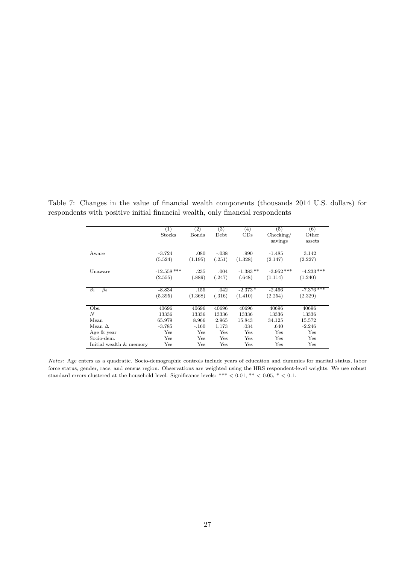Table 7: Changes in the value of financial wealth components (thousands 2014 U.S. dollars) for respondents with positive initial financial wealth, only financial respondents

<span id="page-28-0"></span>

|                         | (1)           | $\left( 2\right)$ | (3)     | (4)        | (5)          | (6)          |
|-------------------------|---------------|-------------------|---------|------------|--------------|--------------|
|                         | Stocks        | Bonds             | Debt    | CDs        | Checking/    | Other        |
|                         |               |                   |         |            | savings      | assets       |
| Aware                   | $-3.724$      | .080              | $-.038$ | .990       | $-1.485$     | 3.142        |
|                         | (5.524)       | (1.195)           | (.251)  | (1.328)    | (2.147)      | (2.227)      |
| Unaware                 | $-12.558$ *** | .235              | .004    | $-1.383**$ | $-3.952$ *** | $-4.233$ *** |
|                         | (2.555)       | (.889)            | (.247)  | (.648)     | (1.114)      | (1.240)      |
| $\beta_1-\beta_2$       | $-8.834$      | .155              | .042    | $-2.373*$  | $-2.466$     | $-7.376***$  |
|                         | (5.395)       | (1.368)           | (.316)  | (1.410)    | (2.254)      | (2.329)      |
| Obs.                    | 40696         | 40696             | 40696   | 40696      | 40696        | 40696        |
| N                       | 13336         | 13336             | 13336   | 13336      | 13336        | 13336        |
| Mean                    | 65.979        | 8.966             | 2.965   | 15.843     | 34.125       | 15.572       |
| Mean $\Delta$           | $-3.785$      | $-.160$           | 1.173   | .034       | .640         | $-2.246$     |
| Age $&$ year            | Yes           | Yes               | Yes     | Yes        | Yes          | Yes          |
| Socio-dem.              | Yes           | Yes               | Yes     | Yes        | Yes          | Yes          |
| Initial wealth & memory | Yes           | Yes               | Yes     | Yes        | Yes          | Yes          |

Notes: Age enters as a quadratic. Socio-demographic controls include years of education and dummies for marital status, labor force status, gender, race, and census region. Observations are weighted using the HRS respondent-level weights. We use robust standard errors clustered at the household level. Significance levels: \*\*\*  $< 0.01,$  \*\*  $< 0.05,$  \*  $< 0.1$ .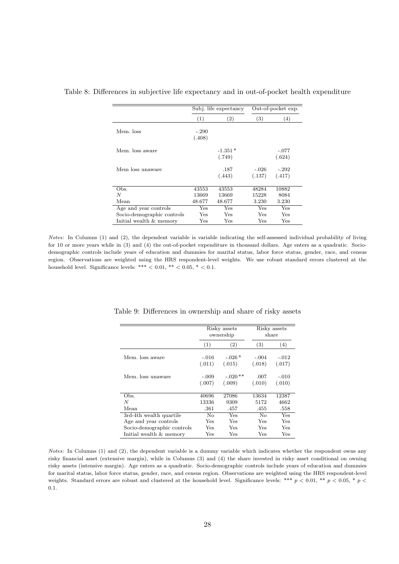<span id="page-29-0"></span>

|                            |                   | Subj. life expectancy | Out-of-pocket exp. |                   |  |
|----------------------------|-------------------|-----------------------|--------------------|-------------------|--|
|                            | (1)               | $\left( 2\right)$     | $\left( 3\right)$  | (4)               |  |
| Mem. loss                  | $-.290$<br>(.408) |                       |                    |                   |  |
| Mem. loss aware            |                   | $-1.351*$<br>(.749)   |                    | $-.077$<br>(.624) |  |
| Mem loss unaware           |                   | .187<br>(.443)        | $-.026$<br>(.137)  | $-.292$<br>(.417) |  |
| Obs.                       | 43553             | 43553                 | 48284              | 10882             |  |
| N                          | 13669             | 13669                 | 15228              | 8084              |  |
| Mean                       | 48.677            | 48.677                | 3.230              | 3.230             |  |
| Age and year controls      | Yes               | $_{\rm Yes}$          | $_{\rm Yes}$       | $_{\rm Yes}$      |  |
| Socio-demographic controls | Yes               | Yes                   | Yes                | Yes               |  |
| Initial wealth & memory    | Yes               | Yes                   | Yes                | Yes               |  |

#### Table 8: Differences in subjective life expectancy and in out-of-pocket health expenditure

Notes: In Columns (1) and (2), the dependent variable is variable indicating the self-assessed individual probability of living for 10 or more years while in (3) and (4) the out-of-pocket expenditure in thousand dollars. Age enters as a quadratic. Sociodemographic controls include years of education and dummies for marital status, labor force status, gender, race, and census region. Observations are weighted using the HRS respondent-level weights. We use robust standard errors clustered at the household level. Significance levels: \*\*\*  $< 0.01,$  \*\*  $< 0.05,$  \*  $< 0.1$ .

<span id="page-29-1"></span>

|                            |         | Risky assets<br>ownership |         | Risky assets<br>share |
|----------------------------|---------|---------------------------|---------|-----------------------|
|                            | (1)     | (2)                       | (3)     | (4)                   |
| Mem. loss aware            | $-.016$ | $-.026*$                  | $-.004$ | $-.012$               |
|                            | (.011)  | (.015)                    | (.018)  | (.017)                |
| Mem. loss unaware          | $-.009$ | $-.020**$                 | .007    | $-.010$               |
|                            | (.007)  | (.009)                    | (.010)  | (.010)                |
| Obs.                       | 40696   | 27086                     | 13634   | 12387                 |
| N                          | 13336   | 9309                      | 5172    | 4662                  |
| Mean                       | .361    | .457                      | .455    | .558                  |
| 3rd-4th wealth quartile    | No      | Yes                       | No      | Yes                   |
| Age and year controls      | Yes     | Yes                       | Yes     | Yes                   |
| Socio-demographic controls | Yes     | Yes                       | Yes     | Yes                   |
| Initial wealth & memory    | Yes     | Yes                       | Yes     | Yes                   |

Table 9: Differences in ownership and share of risky assets

Notes: In Columns (1) and (2), the dependent variable is a dummy variable which indicates whether the respondent owns any risky financial asset (extensive margin), while in Columns (3) and (4) the share invested in risky asset conditional on owning risky assets (intensive margin). Age enters as a quadratic. Socio-demographic controls include years of education and dummies for marital status, labor force status, gender, race, and census region. Observations are weighted using the HRS respondent-level weights. Standard errors are robust and clustered at the household level. Significance levels: \*\*\*  $p < 0.01$ , \*\*  $p < 0.05$ , \*  $p <$ 0.1.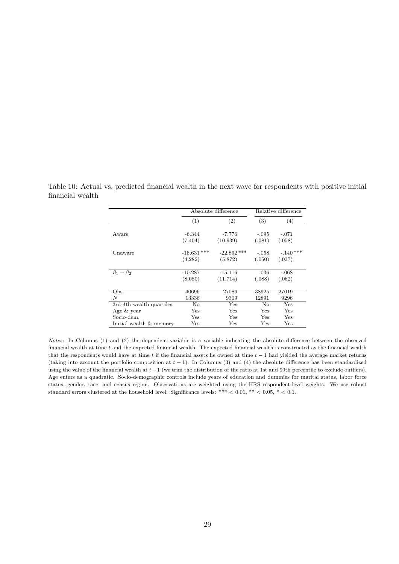|                            |               | Absolute difference | Relative difference |            |  |
|----------------------------|---------------|---------------------|---------------------|------------|--|
|                            | (1)           | (2)                 | $\left( 3\right)$   | (4)        |  |
| Aware                      | -6.344        | $-7.776$            | $-.095$             | $-.071$    |  |
|                            | (7.404)       | (10.939)            | (.081)              | (.058)     |  |
| Unaware                    | $-16.631$ *** | $-22.892$ ***       | $-.058$             | $-.140***$ |  |
|                            | (4.282)       | (5.872)             | (.050)              | (.037)     |  |
|                            |               |                     |                     |            |  |
| $\beta_1-\beta_2$          | $-10.287$     | $-15.116$           | .036                | $-.068$    |  |
|                            | (8.080)       | (11.714)            | (.088)              | (.062)     |  |
|                            |               |                     |                     |            |  |
| Obs.                       | 40696         | 27086               | 38925               | 27019      |  |
| N                          | 13336         | 9309                | 12891               | 9296       |  |
| $3rd-4th$ wealth quartiles | No            | Yes                 | No                  | Yes        |  |
| Age & year                 | Yes           | Yes                 | Yes                 | Yes        |  |
| Socio-dem.                 | Yes           | Yes                 | Yes                 | Yes        |  |
| Initial wealth & memory    | Yes           | Yes                 | Yes                 | Yes        |  |

<span id="page-30-0"></span>Table 10: Actual vs. predicted financial wealth in the next wave for respondents with positive initial financial wealth

Notes: In Columns (1) and (2) the dependent variable is a variable indicating the absolute difference between the observed financial wealth at time t and the expected financial wealth. The expected financial wealth is constructed as the financial wealth that the respondents would have at time t if the financial assets he owned at time  $t - 1$  had yielded the average market returns (taking into account the portfolio composition at  $t - 1$ ). In Columns (3) and (4) the absolute difference has been standardized using the value of the financial wealth at t−1 (we trim the distribution of the ratio at 1st and 99th percentile to exclude outliers). Age enters as a quadratic. Socio-demographic controls include years of education and dummies for marital status, labor force status, gender, race, and census region. Observations are weighted using the HRS respondent-level weights. We use robust standard errors clustered at the household level. Significance levels: \*\*\*  $< 0.01,$  \*\*  $< 0.05,$  \*  $< 0.1$ .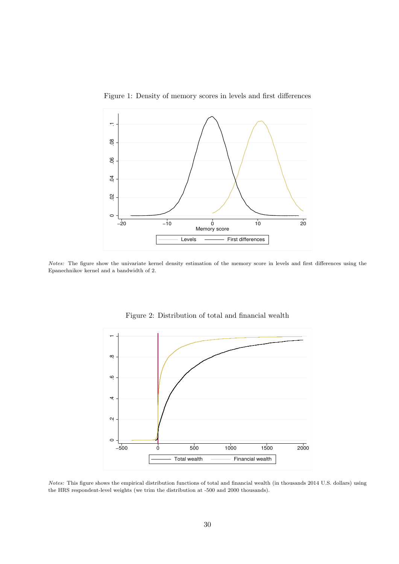

<span id="page-31-0"></span>Figure 1: Density of memory scores in levels and first differences

Notes: The figure show the univariate kernel density estimation of the memory score in levels and first differences using the Epanechnikov kernel and a bandwidth of 2.



<span id="page-31-1"></span>Figure 2: Distribution of total and financial wealth

Notes: This figure shows the empirical distribution functions of total and financial wealth (in thousands 2014 U.S. dollars) using the HRS respondent-level weights (we trim the distribution at -500 and 2000 thousands).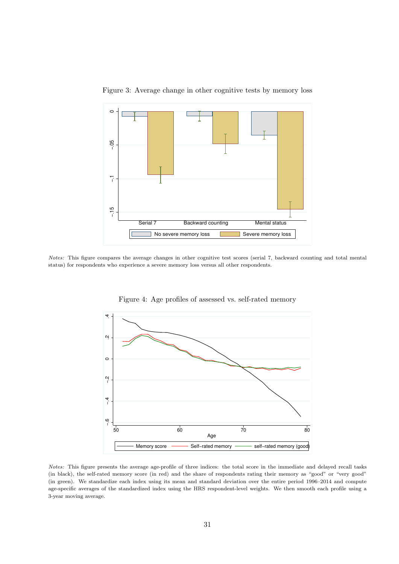

<span id="page-32-0"></span>Figure 3: Average change in other cognitive tests by memory loss

Notes: This figure compares the average changes in other cognitive test scores (serial 7, backward counting and total mental status) for respondents who experience a severe memory loss versus all other respondents.



<span id="page-32-1"></span>Figure 4: Age profiles of assessed vs. self-rated memory

Notes: This figure presents the average age-profile of three indices: the total score in the immediate and delayed recall tasks (in black), the self-rated memory score (in red) and the share of respondents rating their memory as "good" or "very good" (in green). We standardize each index using its mean and standard deviation over the entire period 1996–2014 and compute age-specific averages of the standardized index using the HRS respondent-level weights. We then smooth each profile using a 3-year moving average.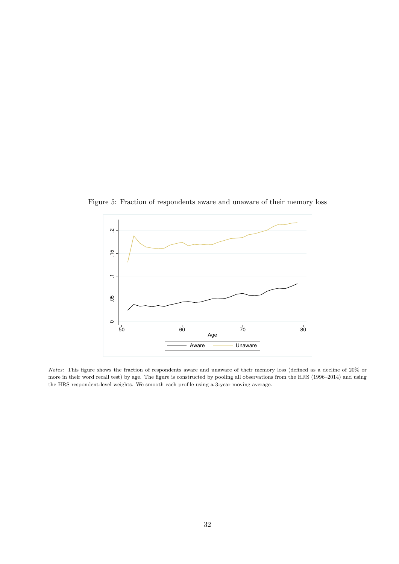<span id="page-33-0"></span>

Figure 5: Fraction of respondents aware and unaware of their memory loss

Notes: This figure shows the fraction of respondents aware and unaware of their memory loss (defined as a decline of 20% or more in their word recall test) by age. The figure is constructed by pooling all observations from the HRS (1996–2014) and using the HRS respondent-level weights. We smooth each profile using a 3-year moving average.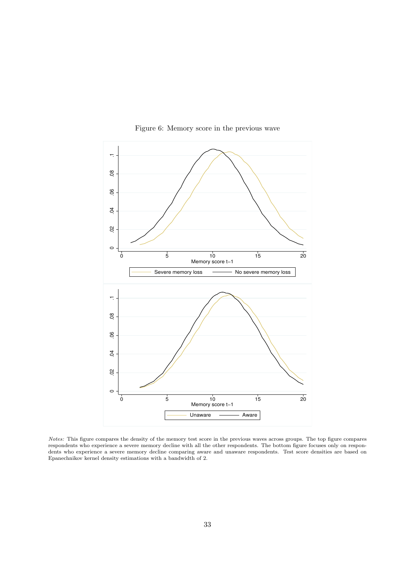

<span id="page-34-0"></span>Figure 6: Memory score in the previous wave

Notes: This figure compares the density of the memory test score in the previous waves across groups. The top figure compares respondents who experience a severe memory decline with all the other respondents. The bottom figure focuses only on respondents who experience a severe memory decline comparing aware and unaware respondents. Test score densities are based on Epanechnikov kernel density estimations with a bandwidth of 2.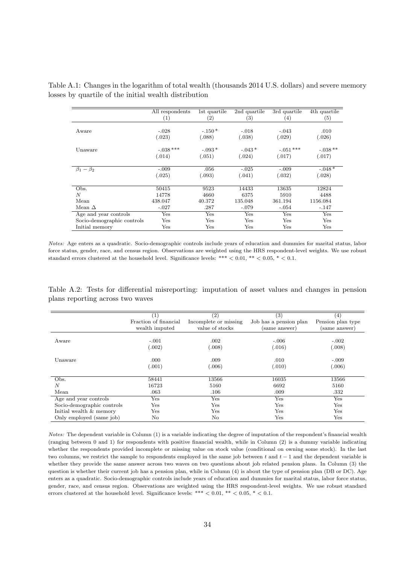|                              | All respondents   | 1st quartile      | 2nd quartile      | 3rd quartile | 4th quartile      |
|------------------------------|-------------------|-------------------|-------------------|--------------|-------------------|
|                              | $\left( 1\right)$ | $\left( 2\right)$ | $\left( 3\right)$ | $^{(4)}$     | $\left( 5\right)$ |
|                              |                   |                   |                   |              |                   |
| Aware                        | $-.028$           | $-.150*$          | $-.018$           | $-.043$      | .010              |
|                              | (.023)            | (.088)            | (.038)            | (.029)       | (.026)            |
| Unaware                      | $-.038$ ***       | $-.093*$          | $-.043*$          | $-.051***$   | $-.038**$         |
|                              | (.014)            | (.051)            | (.024)            | (.017)       | (.017)            |
| $\beta_1-\overline{\beta_2}$ | $-.009$           | .056              | $-.025$           | $-.009$      | $-.048*$          |
|                              | (.025)            | (.093)            | (.041)            | (.032)       | (.028)            |
| Obs.                         | 50415             | 9523              | 14433             | 13635        | 12824             |
| N                            | 14778             | 4660              | 6375              | 5910         | 4488              |
| Mean                         | 438.047           | 40.372            | 135.048           | 361.194      | 1156.084          |
| Mean $\Delta$                | $-.027$           | .287              | $-.079$           | $-.054$      | $-.147$           |
| Age and year controls        | Yes               | Yes               | Yes               | Yes          | Yes               |
| Socio-demographic controls   | Yes               | Yes               | Yes               | Yes          | Yes               |
| Initial memory               | Yes               | Yes               | Yes               | Yes          | Yes               |

Table A.1: Changes in the logarithm of total wealth (thousands 2014 U.S. dollars) and severe memory losses by quartile of the initial wealth distribution

Notes: Age enters as a quadratic. Socio-demographic controls include years of education and dummies for marital status, labor force status, gender, race, and census region. Observations are weighted using the HRS respondent-level weights. We use robust standard errors clustered at the household level. Significance levels: \*\*\*  $< 0.01$ , \*\*  $< 0.05$ , \*  $< 0.1$ .

Table A.2: Tests for differential misreporting: imputation of asset values and changes in pension plans reporting across two waves

|                            | (1)                   | $\left( 2\right)$     | (3)                    | (4)                  |
|----------------------------|-----------------------|-----------------------|------------------------|----------------------|
|                            | Fraction of financial | Incomplete or missing | Job has a pension plan | Pension plan type    |
|                            | wealth imputed        | value of stocks       | (same answer)          | (same answer)        |
|                            |                       |                       |                        |                      |
| Aware                      | $-.001$               | .002                  | $-.006$                | $-.002$              |
|                            | (.002)                | (.008)                | (.016)                 | (.008)               |
|                            |                       |                       |                        |                      |
| Unaware                    | .000                  | .009                  | .010                   | $-.009$              |
|                            | (.001)                | (.006)                | (.010)                 | (.006)               |
| Obs.                       | 58441                 | 13566                 | 16035                  | 13566                |
| N                          | 16723                 | 5160                  | 6692                   | 5160                 |
| Mean                       | .063                  | .106                  | .009                   | .332                 |
| Age and year controls      | Yes                   | Yes                   | Yes                    | Yes                  |
| Socio-demographic controls | Yes                   | Yes                   | Yes                    | Yes                  |
| Initial wealth & memory    | Yes                   | Yes                   | Yes                    | Yes                  |
| Only employed (same job)   | No                    | No                    | Yes                    | $\operatorname{Yes}$ |

Notes: The dependent variable in Column (1) is a variable indicating the degree of imputation of the respondent's financial wealth (ranging between 0 and 1) for respondents with positive financial wealth, while in Column (2) is a dummy variable indicating whether the respondents provided incomplete or missing value on stock value (conditional on owning some stock). In the last two columns, we restrict the sample to respondents employed in the same job between t and  $t - 1$  and the dependent variable is whether they provide the same answer across two waves on two questions about job related pension plans. In Column (3) the question is whether their current job has a pension plan, while in Column (4) is about the type of pension plan (DB or DC). Age enters as a quadratic. Socio-demographic controls include years of education and dummies for marital status, labor force status, gender, race, and census region. Observations are weighted using the HRS respondent-level weights. We use robust standard errors clustered at the household level. Significance levels: \*\*\*  $< 0.01$ , \*\*  $< 0.05$ , \*  $< 0.1$ .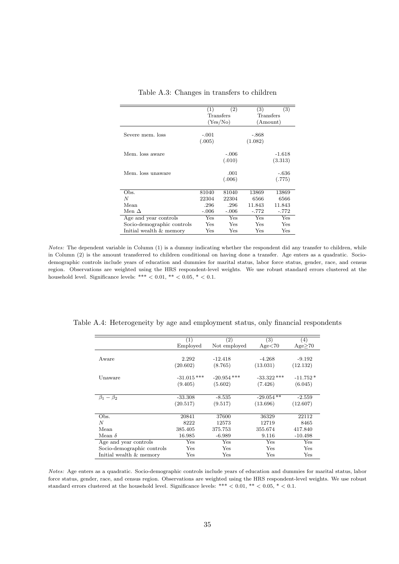|                            | (1)          | (2)      | (3)     | $\overline{(3)}$ |
|----------------------------|--------------|----------|---------|------------------|
|                            | Transfers    |          |         | Transfers        |
|                            |              | (Yes/No) |         | (Amount)         |
|                            |              |          |         |                  |
| Severe mem. loss           | $-.001$      |          | $-.868$ |                  |
|                            | (.005)       |          | (1.082) |                  |
| Mem. loss aware            |              | $-.006$  |         | $-1.618$         |
|                            |              | (.010)   |         | (3.313)          |
|                            |              |          |         |                  |
| Mem. loss unaware          |              | .001     |         | -.636            |
|                            |              | (.006)   |         | (.775)           |
|                            |              |          |         |                  |
| Obs.                       | 81040        | 81040    | 13869   | 13869            |
| N                          | 22304        | 22304    | 6566    | 6566             |
| Mean                       | .296         | .296     | 11.843  | 11.843           |
| Men $\Delta$               | $-.006$      | $-.006$  | $-.772$ | $-.772$          |
| Age and year controls      | $_{\rm Yes}$ | Yes      | Yes     | Yes              |
| Socio-demographic controls | Yes          | Yes      | Yes     | Yes              |
| Initial wealth & memory    | $_{\rm Yes}$ | Yes      | Yes     | Yes              |

Table A.3: Changes in transfers to children

Notes: The dependent variable in Column (1) is a dummy indicating whether the respondent did any transfer to children, while in Column (2) is the amount transferred to children conditional on having done a transfer. Age enters as a quadratic. Sociodemographic controls include years of education and dummies for marital status, labor force status, gender, race, and census region. Observations are weighted using the HRS respondent-level weights. We use robust standard errors clustered at the household level. Significance levels: \*\*\* < 0.01, \*\* < 0.05, \* < 0.1.

|                            | $\left(1\right)$ | $\left( 2\right)$ | (3)           | (4)          |
|----------------------------|------------------|-------------------|---------------|--------------|
|                            | Employed         | Not employed      | Age< 70       | Age>70       |
|                            |                  |                   |               |              |
| Aware                      | 2.292            | $-12.418$         | $-4.268$      | $-9.192$     |
|                            | (20.602)         | (8.765)           | (13.031)      | (12.132)     |
| Unaware                    | $-31.015$ ***    | $-20.954$ ***     | $-33.322$ *** | $-11.752*$   |
|                            | (9.405)          | (5.602)           | (7.426)       | (6.045)      |
| $\beta_1 - \beta_2$        | $-33.308$        | $-8.535$          | $-29.054**$   | $-2.559$     |
|                            | (20.517)         | (9.517)           | (13.696)      | (12.607)     |
| Obs.                       | 20841            | 37600             | 36329         | 22112        |
| N                          | 8222             | 12573             | 12719         | 8465         |
| Mean                       | 385.405          | 375.753           | 355.674       | 417.840      |
| Mean $\delta$              | 16.985           | $-6.989$          | 9.116         | $-10.498$    |
| Age and year controls      | $_{\rm Yes}$     | Yes               | Yes           | Yes          |
| Socio-demographic controls | Yes              | Yes               | Yes           | Yes          |
| Initial wealth & memory    | Yes              | Yes               | Yes           | $_{\rm Yes}$ |

Table A.4: Heterogeneity by age and employment status, only financial respondents

Notes: Age enters as a quadratic. Socio-demographic controls include years of education and dummies for marital status, labor force status, gender, race, and census region. Observations are weighted using the HRS respondent-level weights. We use robust standard errors clustered at the household level. Significance levels: \*\*\*  $< 0.01,$  \*\*  $< 0.05,$  \*  $< 0.1$ .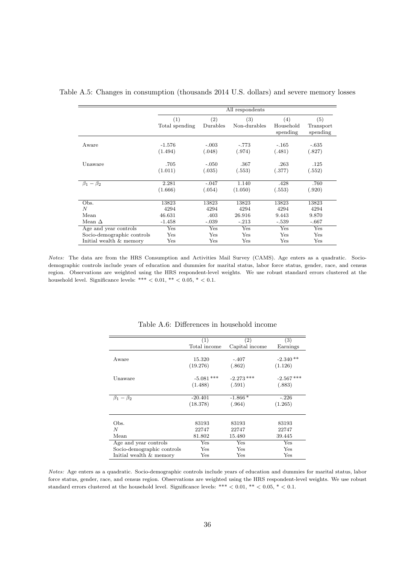|                            |                |          | All respondents |                       |                       |
|----------------------------|----------------|----------|-----------------|-----------------------|-----------------------|
|                            | (1)            | (2)      | (3)             | (4)                   | (5)                   |
|                            | Total spending | Durables | Non-durables    | Household<br>spending | Transport<br>spending |
| Aware                      | $-1.576$       | $-.003$  | $-.773$         | $-.165$               | $-.635$               |
|                            | (1.494)        | (.048)   | (.974)          | (.481)                | (.827)                |
| Unaware                    | .705           | $-.050$  | .367            | .263                  | .125                  |
|                            | (1.011)        | (.035)   | (.553)          | (.377)                | (.552)                |
| $\beta_1-\beta_2$          | 2.281          | $-.047$  | 1.140           | .428                  | .760                  |
|                            | (1.666)        | (.054)   | (1.050)         | (.553)                | (.920)                |
| Obs.                       | 13823          | 13823    | 13823           | 13823                 | 13823                 |
| N                          | 4294           | 4294     | 4294            | 4294                  | 4294                  |
| Mean                       | 46.631         | .403     | 26.916          | 9.443                 | 9.870                 |
| Mean $\Delta$              | $-1.458$       | $-.039$  | $-.213$         | $-.539$               | $-.667$               |
| Age and year controls      | Yes            | Yes      | Yes             | Yes                   | Yes                   |
| Socio-demographic controls | Yes            | Yes      | Yes             | Yes                   | Yes                   |
| Initial wealth & memory    | Yes            | Yes      | Yes             | Yes                   | Yes                   |

Table A.5: Changes in consumption (thousands 2014 U.S. dollars) and severe memory losses

Notes: The data are from the HRS Consumption and Activities Mail Survey (CAMS). Age enters as a quadratic. Sociodemographic controls include years of education and dummies for marital status, labor force status, gender, race, and census region. Observations are weighted using the HRS respondent-level weights. We use robust standard errors clustered at the household level. Significance levels: \*\*\*  $< 0.01,$  \*\*  $< 0.05,$  \*  $< 0.1$ .

|                            | (1)          | $\left( 2\right)$ | (3)          |
|----------------------------|--------------|-------------------|--------------|
|                            | Total income | Capital income    | Earnings     |
|                            |              |                   |              |
| Aware                      | 15.320       | $-.407$           | $-2.340**$   |
|                            | (19.276)     | (.862)            | (1.126)      |
| Unaware                    | $-5.081$ *** | $-2.273$ ***      | $-2.567$ *** |
|                            | (1.488)      | (.591)            | (.883)       |
| $\beta_1-\beta_2$          | $-20.401$    | $-1.866*$         | $-.226$      |
|                            | (18.378)     | (.964)            | (1.265)      |
|                            |              |                   |              |
| Obs.                       | 83193        | 83193             | 83193        |
| N                          | 22747        | 22747             | 22747        |
| Mean                       | 81.802       | 15.480            | 39.445       |
| Age and year controls      | Yes          | Yes               | Yes          |
| Socio-demographic controls | Yes          | Yes               | Yes          |
| Initial wealth & memory    | Yes          | Yes               | Yes          |

Table A.6: Differences in household income

Notes: Age enters as a quadratic. Socio-demographic controls include years of education and dummies for marital status, labor force status, gender, race, and census region. Observations are weighted using the HRS respondent-level weights. We use robust standard errors clustered at the household level. Significance levels: \*\*\* < 0.01, \*\* < 0.05, \* < 0.1.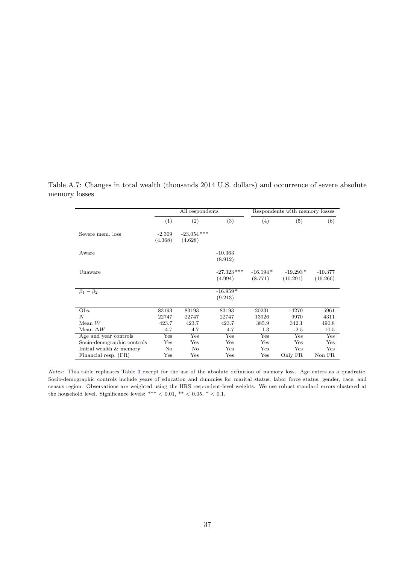|                              | All respondents     |                          |                          |                       | Respondents with memory losses |                       |
|------------------------------|---------------------|--------------------------|--------------------------|-----------------------|--------------------------------|-----------------------|
|                              | (1)                 | (2)                      | (3)                      | (4)                   | (5)                            | (6)                   |
| Severe mem. loss             | $-2.309$<br>(4.368) | $-23.054$ ***<br>(4.628) |                          |                       |                                |                       |
| Aware                        |                     |                          | $-10.363$<br>(8.912)     |                       |                                |                       |
| Unaware                      |                     |                          | $-27.323$ ***<br>(4.994) | $-16.194*$<br>(8.771) | $-19.293*$<br>(10.291)         | $-10.377$<br>(16.266) |
| $\beta_1-\overline{\beta_2}$ |                     |                          | $-16.959*$<br>(9.213)    |                       |                                |                       |
| Obs.                         | 83193               | 83193                    | 83193                    | 20231                 | 14270                          | 5961                  |
| $\boldsymbol{N}$             | 22747               | 22747                    | 22747                    | 13926                 | 9970                           | 4311                  |
| Mean $W$                     | 423.7               | 423.7                    | 423.7                    | 385.9                 | 342.1                          | 490.8                 |
| Mean $\Delta W$              | 4.7                 | 4.7                      | 4.7                      | 1.3                   | $-2.5$                         | 10.5                  |
| Age and year controls        | Yes                 | Yes                      | Yes                      | Yes                   | Yes                            | Yes                   |
| Socio-demographic controls   | Yes                 | Yes                      | Yes                      | Yes                   | Yes                            | Yes                   |
| Initial wealth & memory      | No                  | No                       | Yes                      | Yes                   | Yes                            | Yes                   |
| Financial resp. (FR)         | Yes                 | Yes                      | Yes                      | Yes                   | Only FR                        | Non FR                |

Table A.7: Changes in total wealth (thousands 2014 U.S. dollars) and occurrence of severe absolute memory losses

Notes: This table replicates Table [3](#page-26-0) except for the use of the absolute definition of memory loss. Age enters as a quadratic. Socio-demographic controls include years of education and dummies for marital status, labor force status, gender, race, and census region. Observations are weighted using the HRS respondent-level weights. We use robust standard errors clustered at the household level. Significance levels: \*\*\* < 0.01, \*\* < 0.05, \* < 0.1.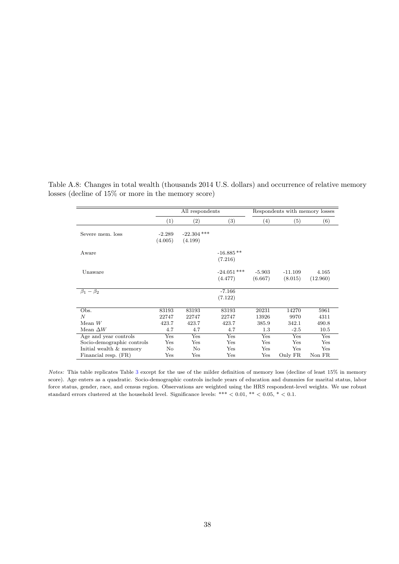|                            |          | All respondents |               | Respondents with memory losses |           |          |
|----------------------------|----------|-----------------|---------------|--------------------------------|-----------|----------|
|                            | (1)      | (2)             | (3)           | $\left( 4\right)$              | (5)       | (6)      |
| Severe mem. loss           | $-2.289$ | $-22.304$ ***   |               |                                |           |          |
|                            | (4.005)  | (4.199)         |               |                                |           |          |
| Aware                      |          |                 | $-16.885**$   |                                |           |          |
|                            |          |                 | (7.216)       |                                |           |          |
| Unaware                    |          |                 | $-24.051$ *** | $-5.903$                       | $-11.109$ | 4.165    |
|                            |          |                 | (4.477)       | (6.667)                        | (8.015)   | (12.960) |
| $\beta_1-\beta_2$          |          |                 | $-7.166$      |                                |           |          |
|                            |          |                 | (7.122)       |                                |           |          |
| Obs.                       | 83193    | 83193           | 83193         | 20231                          | 14270     | 5961     |
| N                          | 22747    | 22747           | 22747         | 13926                          | 9970      | 4311     |
| Mean $W$                   | 423.7    | 423.7           | 423.7         | 385.9                          | 342.1     | 490.8    |
| Mean $\Delta W$            | 4.7      | 4.7             | 4.7           | 1.3                            | $-2.5$    | 10.5     |
| Age and year controls      | Yes      | Yes             | Yes           | Yes                            | Yes       | Yes      |
| Socio-demographic controls | Yes      | Yes             | Yes           | Yes                            | Yes       | Yes      |
| Initial wealth & memory    | No       | No              | Yes           | Yes                            | Yes       | Yes      |
| Financial resp. (FR)       | Yes      | Yes             | Yes           | Yes                            | Only FR   | Non FR   |

Table A.8: Changes in total wealth (thousands 2014 U.S. dollars) and occurrence of relative memory losses (decline of 15% or more in the memory score)

Notes: This table replicates Table [3](#page-26-0) except for the use of the milder definition of memory loss (decline of least 15% in memory score). Age enters as a quadratic. Socio-demographic controls include years of education and dummies for marital status, labor force status, gender, race, and census region. Observations are weighted using the HRS respondent-level weights. We use robust standard errors clustered at the household level. Significance levels: \*\*\*  $< 0.01$ , \*\*  $< 0.05$ , \*  $< 0.1$ .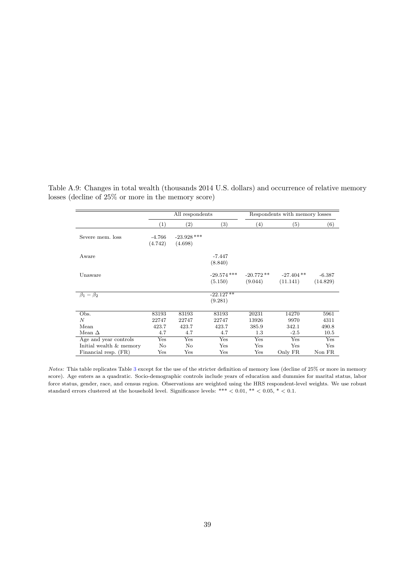|                         | All respondents     |                          |                          | Respondents with memory losses |                          |                      |
|-------------------------|---------------------|--------------------------|--------------------------|--------------------------------|--------------------------|----------------------|
|                         | (1)                 | $\left( 2\right)$        | (3)                      | (4)                            | $\left( 5\right)$        | (6)                  |
| Severe mem. loss        | $-4.766$<br>(4.742) | $-23.928$ ***<br>(4.698) |                          |                                |                          |                      |
| Aware                   |                     |                          | $-7.447$<br>(8.840)      |                                |                          |                      |
| Unaware                 |                     |                          | $-29.574$ ***<br>(5.150) | $-20.772**$<br>(9.044)         | $-27.404$ **<br>(11.141) | $-6.387$<br>(14.829) |
| $\beta_1-\beta_2$       |                     |                          | $-22.127**$<br>(9.281)   |                                |                          |                      |
| Obs.                    | 83193               | 83193                    | 83193                    | 20231                          | 14270                    | 5961                 |
| $\boldsymbol{N}$        | 22747               | 22747                    | 22747                    | 13926                          | 9970                     | 4311                 |
| Mean                    | 423.7               | 423.7                    | 423.7                    | 385.9                          | 342.1                    | 490.8                |
| Mean $\Delta$           | 4.7                 | 4.7                      | 4.7                      | 1.3                            | $-2.5$                   | 10.5                 |
| Age and year controls   | Yes                 | Yes                      | Yes                      | Yes                            | Yes                      | Yes                  |
| Initial wealth & memory | No                  | No                       | $_{\rm Yes}$             | Yes                            | Yes                      | Yes                  |
| Financial resp. (FR)    | $_{\rm Yes}$        | Yes                      | Yes                      | Yes                            | Only FR                  | Non FR               |

Table A.9: Changes in total wealth (thousands 2014 U.S. dollars) and occurrence of relative memory losses (decline of 25% or more in the memory score)

Notes: This table replicates Table [3](#page-26-0) except for the use of the stricter definition of memory loss (decline of 25% or more in memory score). Age enters as a quadratic. Socio-demographic controls include years of education and dummies for marital status, labor force status, gender, race, and census region. Observations are weighted using the HRS respondent-level weights. We use robust standard errors clustered at the household level. Significance levels: \*\*\* < 0.01, \*\* < 0.05, \* < 0.1.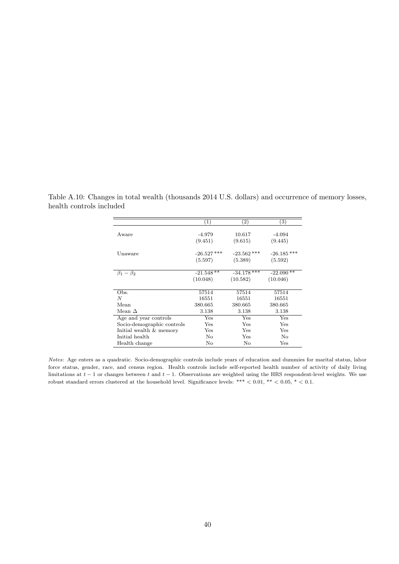|                            | (1)           | $\left( 2\right)$      | $\left(3\right)$ |
|----------------------------|---------------|------------------------|------------------|
|                            |               |                        |                  |
| Aware                      | -4.979        | 10.617                 | $-4.094$         |
|                            | (9.451)       | (9.615)                | (9.445)          |
| Unaware                    | $-26.527$ *** | $-23.562$ ***          | $-26.185$ ***    |
|                            | (5.597)       | (5.389)                | (5.592)          |
| $\beta_1 - \beta_2$        | $-21.548$ **  | $-34.178$ ***          | $-22.090**$      |
|                            | (10.048)      | (10.582)               | (10.046)         |
|                            |               |                        |                  |
| Obs.                       | 57514         | 57514                  | 57514            |
| N                          | 16551         | 16551                  | 16551            |
| Mean                       | 380.665       | 380.665                | 380.665          |
| Mean $\Delta$              | 3.138         | 3.138                  | 3.138            |
| Age and year controls      | Yes           | $\bar{\chi}_{\rm{es}}$ | Yes              |
| Socio-demographic controls | Yes           | Yes                    | Yes              |
| Initial wealth & memory    | Yes           | Yes                    | Yes              |
| Initial health             | No            | Yes                    | No               |
| Health change              | No            | No                     | Yes              |

Table A.10: Changes in total wealth (thousands 2014 U.S. dollars) and occurrence of memory losses, health controls included

Notes: Age enters as a quadratic. Socio-demographic controls include years of education and dummies for marital status, labor force status, gender, race, and census region. Health controls include self-reported health number of activity of daily living limitations at  $t-1$  or changes between t and  $t-1$ . Observations are weighted using the HRS respondent-level weights. We use robust standard errors clustered at the household level. Significance levels: \*\*\*  $< 0.01,$  \*\*  $< 0.05,$  \*  $< 0.1$ .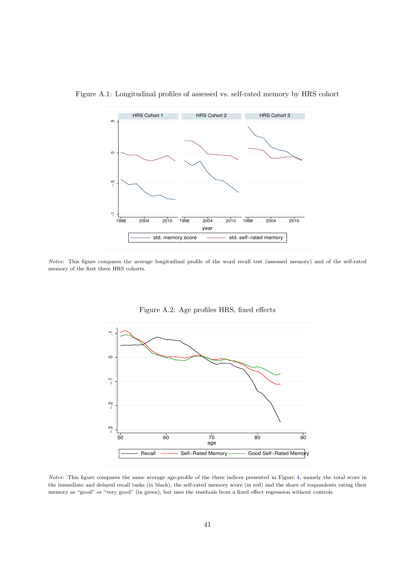

Figure A.1: Longitudinal profiles of assessed vs. self-rated memory by HRS cohort

Notes: This figure compares the average longitudinal profile of the word recall test (assessed memory) and of the self-rated memory of the first three HRS cohorts.



Figure A.2: Age profiles HRS, fixed effects

Notes: This figure compares the same average age-profile of the three indices presented in Figure [4,](#page-32-1) namely the total score in the immediate and delayed recall tasks (in black), the self-rated memory score (in red) and the share of respondents rating their memory as "good" or "very good" (in green), but uses the residuals from a fixed effect regression without controls.